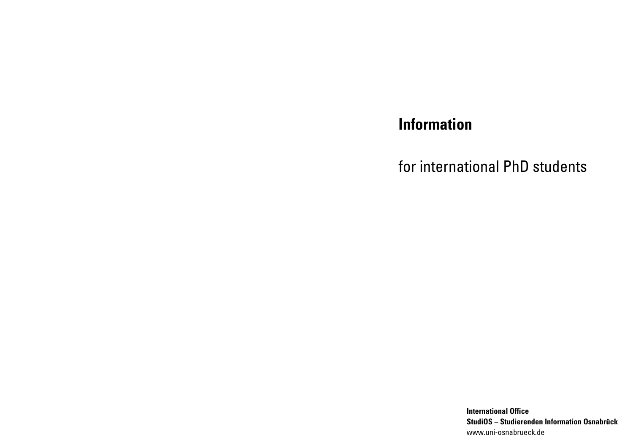# **Information**

for international PhD students

**International Office StudiOS – Studierenden Information Osnabrück**  www.uni-osnabrueck.de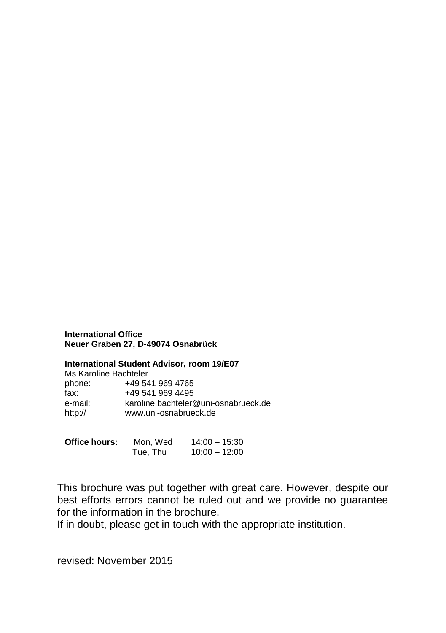#### **International Office Neuer Graben 27, D-49074 Osnabrück**

#### **International Student Advisor, room 19/E07**

|         | Ms Karoline Bachteler                |
|---------|--------------------------------------|
| phone:  | +49 541 969 4765                     |
| fax:    | +49 541 969 4495                     |
| e-mail: | karoline.bachteler@uni-osnabrueck.de |
| http:// | www.uni-osnabrueck.de                |

| Office hours: | Mon. Wed | $14:00 - 15:30$ |
|---------------|----------|-----------------|
|               | Tue, Thu | $10:00 - 12:00$ |

This brochure was put together with great care. However, despite our best efforts errors cannot be ruled out and we provide no guarantee for the information in the brochure.

If in doubt, please get in touch with the appropriate institution.

revised: November 2015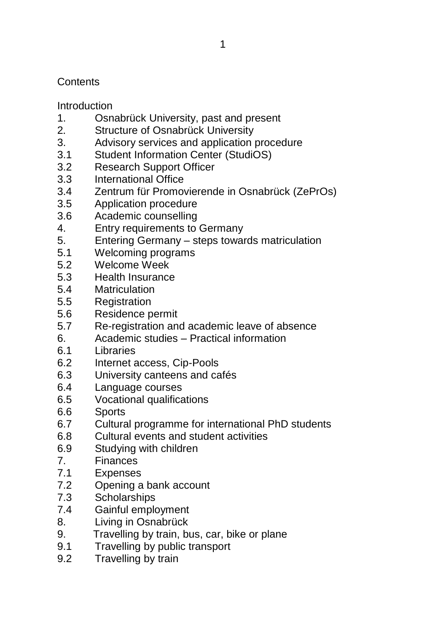# **Contents**

Introduction

- 1. Osnabrück University, past and present<br>2. Structure of Osnabrück University
- Structure of Osnabrück University
- 3. Advisory services and application procedure
- 3.1 Student Information Center (StudiOS)<br>3.2 Research Support Officer
- Research Support Officer
- 3.3 International Office
- 3.4 Zentrum für Promovierende in Osnabrück (ZePrOs)
- 3.5 Application procedure
- 3.6 Academic counselling
- 4. Entry requirements to Germany<br>5 Fntering Germany steps towar
- 5. Entering Germany steps towards matriculation
- 5.1 Welcoming programs
- 5.2 Welcome Week
- 5.3 Health Insurance
- 5.4 Matriculation
- 5.5 Registration
- 5.6 Residence permit
- 5.7 Re-registration and academic leave of absence
- 6. Academic studies Practical information<br>6.1 libraries
- 6.1 Libraries
- 6.2 Internet access, Cip-Pools
- 6.3 University canteens and cafés
- 6.4 Language courses
- 6.5 Vocational qualifications
- 6.6 Sports
- 6.7 Cultural programme for international PhD students
- 6.8 Cultural events and student activities
- 6.9 Studying with children
- 7. Finances
- 7.1 Expenses
- 7.2 Opening a bank account
- 7.3 Scholarships
- 7.4 Gainful employment
- 8. Living in Osnabrück
- 9. Travelling by train, bus, car, bike or plane
- 9.1 Travelling by public transport
- 9.2 Travelling by train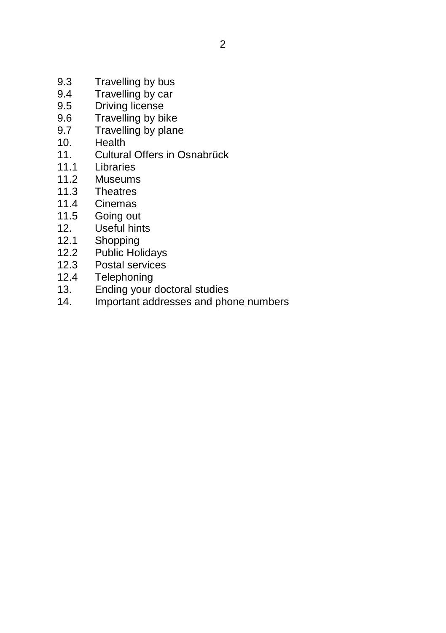- 9.3 Travelling by bus<br>9.4 Travelling by car
- Travelling by car
- 9.5 Driving license
- 9.6 Travelling by bike<br>9.7 Travelling by plane
- Travelling by plane
- 10. Health<br>11. Cultura
- 11. Cultural Offers in Osnabrück<br>11.1 Libraries
- I ibraries
- 11.2 Museums
- 11.3 Theatres<br>11.4 Cinemas
- 11.4 Cinemas<br>11.5 Going out
- 11.5 Going out<br>12. Useful hint
- 12. Useful hints<br>12.1 Shopping
- 12.1 Shopping<br>12.2 Public Hol
- Public Holidays
- 12.3 Postal services
- 12.4 Telephoning
- 13. Ending your doctoral studies
- 14. Important addresses and phone numbers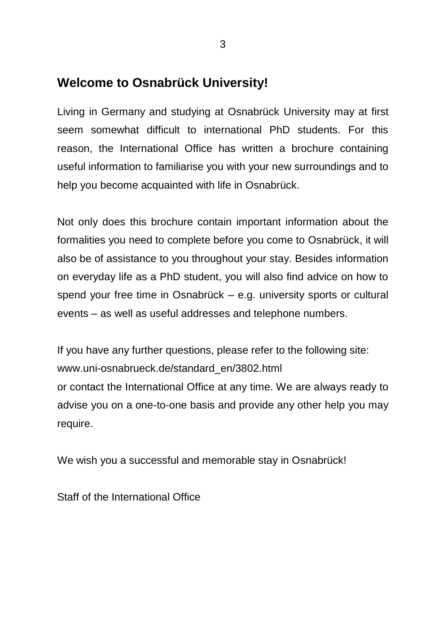# **Welcome to Osnabrück University!**

Living in Germany and studying at Osnabrück University may at first seem somewhat difficult to international PhD students. For this reason, the International Office has written a brochure containing useful information to familiarise you with your new surroundings and to help you become acquainted with life in Osnabrück.

Not only does this brochure contain important information about the formalities you need to complete before you come to Osnabrück, it will also be of assistance to you throughout your stay. Besides information on everyday life as a PhD student, you will also find advice on how to spend your free time in Osnabrück – e.g. university sports or cultural events – as well as useful addresses and telephone numbers.

If you have any further questions, please refer to the following site: www.uni-osnabrueck.de/standard\_en/3802.html or contact the International Office at any time. We are always ready to advise you on a one-to-one basis and provide any other help you may require.

We wish you a successful and memorable stay in Osnabrück!

Staff of the International Office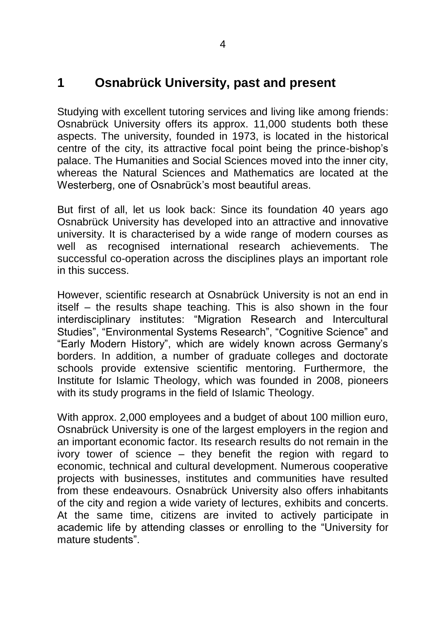# **1 Osnabrück University, past and present**

Studying with excellent tutoring services and living like among friends: Osnabrück University offers its approx. 11,000 students both these aspects. The university, founded in 1973, is located in the historical centre of the city, its attractive focal point being the prince-bishop's palace. The Humanities and Social Sciences moved into the inner city, whereas the Natural Sciences and Mathematics are located at the Westerberg, one of Osnabrück's most beautiful areas.

But first of all, let us look back: Since its foundation 40 years ago Osnabrück University has developed into an attractive and innovative university. It is characterised by a wide range of modern courses as well as recognised international research achievements. The successful co-operation across the disciplines plays an important role in this success.

However, scientific research at Osnabrück University is not an end in itself – the results shape teaching. This is also shown in the four interdisciplinary institutes: "Migration Research and Intercultural Studies", "Environmental Systems Research", "Cognitive Science" and "Early Modern History", which are widely known across Germany's borders. In addition, a number of graduate colleges and doctorate schools provide extensive scientific mentoring. Furthermore, the Institute for Islamic Theology, which was founded in 2008, pioneers with its study programs in the field of Islamic Theology.

With approx. 2,000 employees and a budget of about 100 million euro, Osnabrück University is one of the largest employers in the region and an important economic factor. Its research results do not remain in the ivory tower of science – they benefit the region with regard to economic, technical and cultural development. Numerous cooperative projects with businesses, institutes and communities have resulted from these endeavours. Osnabrück University also offers inhabitants of the city and region a wide variety of lectures, exhibits and concerts. At the same time, citizens are invited to actively participate in academic life by attending classes or enrolling to the "University for mature students".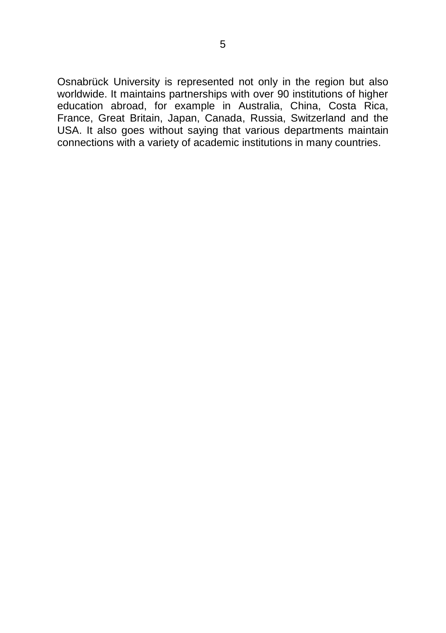Osnabrück University is represented not only in the region but also worldwide. It maintains partnerships with over 90 institutions of higher education abroad, for example in Australia, China, Costa Rica, France, Great Britain, Japan, Canada, Russia, Switzerland and the USA. It also goes without saying that various departments maintain connections with a variety of academic institutions in many countries.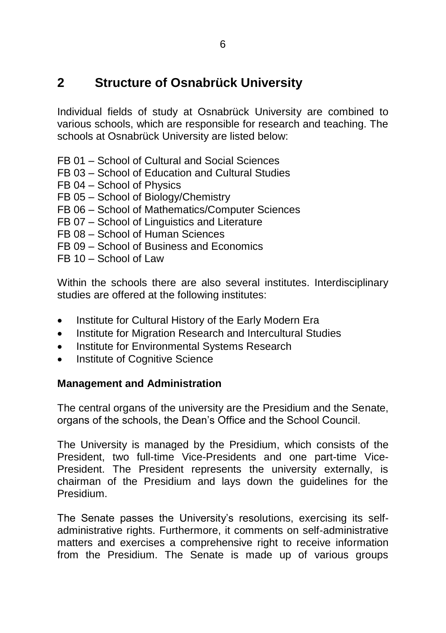# **2 Structure of Osnabrück University**

Individual fields of study at Osnabrück University are combined to various schools, which are responsible for research and teaching. The schools at Osnabrück University are listed below:

- FB 01 School of Cultural and Social Sciences
- FB 03 School of Education and Cultural Studies
- FB 04 School of Physics
- FB 05 School of Biology/Chemistry
- FB 06 School of Mathematics/Computer Sciences
- FB 07 School of Linguistics and Literature
- FB 08 School of Human Sciences
- FB 09 School of Business and Economics
- $FB 10 School of Law$

Within the schools there are also several institutes. Interdisciplinary studies are offered at the following institutes:

- Institute for Cultural History of the Early Modern Era
- Institute for Migration Research and Intercultural Studies
- Institute for Environmental Systems Research
- Institute of Cognitive Science

#### **Management and Administration**

The central organs of the university are the Presidium and the Senate, organs of the schools, the Dean's Office and the School Council.

The University is managed by the Presidium, which consists of the President, two full-time Vice-Presidents and one part-time Vice-President. The President represents the university externally, is chairman of the Presidium and lays down the guidelines for the Presidium.

The Senate passes the University's resolutions, exercising its selfadministrative rights. Furthermore, it comments on self-administrative matters and exercises a comprehensive right to receive information from the Presidium. The Senate is made up of various groups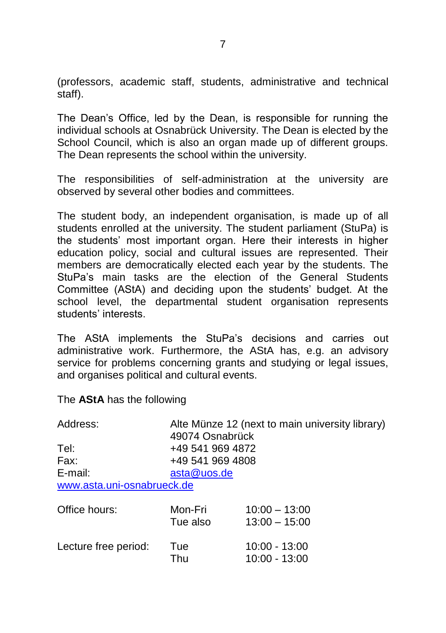(professors, academic staff, students, administrative and technical staff).

The Dean's Office, led by the Dean, is responsible for running the individual schools at Osnabrück University. The Dean is elected by the School Council, which is also an organ made up of different groups. The Dean represents the school within the university.

The responsibilities of self-administration at the university are observed by several other bodies and committees.

The student body, an independent organisation, is made up of all students enrolled at the university. The student parliament (StuPa) is the students' most important organ. Here their interests in higher education policy, social and cultural issues are represented. Their members are democratically elected each year by the students. The StuPa's main tasks are the election of the General Students Committee (AStA) and deciding upon the students' budget. At the school level, the departmental student organisation represents students' interests.

The AStA implements the StuPa's decisions and carries out administrative work. Furthermore, the AStA has, e.g. an advisory service for problems concerning grants and studying or legal issues, and organises political and cultural events.

The **AStA** has the following

| Address:                   | Alte Münze 12 (next to main university library)<br>49074 Osnabrück |                                  |  |
|----------------------------|--------------------------------------------------------------------|----------------------------------|--|
| Tel:                       | +49 541 969 4872                                                   |                                  |  |
| Fax:                       | +49 541 969 4808                                                   |                                  |  |
| E-mail:                    | asta@uos.de                                                        |                                  |  |
| www.asta.uni-osnabrueck.de |                                                                    |                                  |  |
| Office hours:              | Mon-Fri                                                            | $10:00 - 13:00$                  |  |
|                            | Tue also                                                           | $13:00 - 15:00$                  |  |
| Lecture free period:       | Tue<br>Thu                                                         | $10:00 - 13:00$<br>10:00 - 13:00 |  |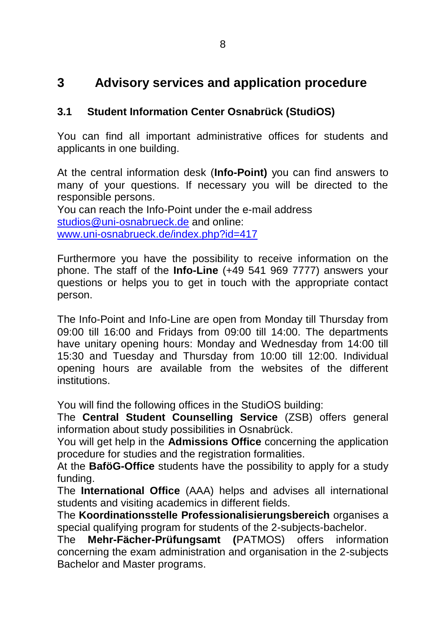# **3 Advisory services and application procedure**

## **3.1 Student Information Center Osnabrück (StudiOS)**

You can find all important administrative offices for students and applicants in one building.

At the central information desk (**Info-Point)** you can find answers to many of your questions. If necessary you will be directed to the responsible persons.

You can reach the Info-Point under the e-mail address [studios@uni-osnabrueck.de](mailto:studios@uni-osnabrueck.de) and online: [www.uni-osnabrueck.de/index.php?id=417](http://www.uni-osnabrueck.de/index.php?id=417)

Furthermore you have the possibility to receive information on the phone. The staff of the **Info-Line** (+49 541 969 7777) answers your questions or helps you to get in touch with the appropriate contact person.

The Info-Point and Info-Line are open from Monday till Thursday from 09:00 till 16:00 and Fridays from 09:00 till 14:00. The departments have unitary opening hours: Monday and Wednesday from 14:00 till 15:30 and Tuesday and Thursday from 10:00 till 12:00. Individual opening hours are available from the websites of the different institutions.

You will find the following offices in the StudiOS building:

The **Central Student Counselling Service** (ZSB) offers general information about study possibilities in Osnabrück.

You will get help in the **Admissions Office** concerning the application procedure for studies and the registration formalities.

At the **BaföG-Office** students have the possibility to apply for a study funding.

The **International Office** (AAA) helps and advises all international students and visiting academics in different fields.

The **Koordinationsstelle Professionalisierungsbereich** organises a special qualifying program for students of the 2-subjects-bachelor.

The **Mehr-Fächer-Prüfungsamt (**PATMOS) offers information concerning the exam administration and organisation in the 2-subjects Bachelor and Master programs.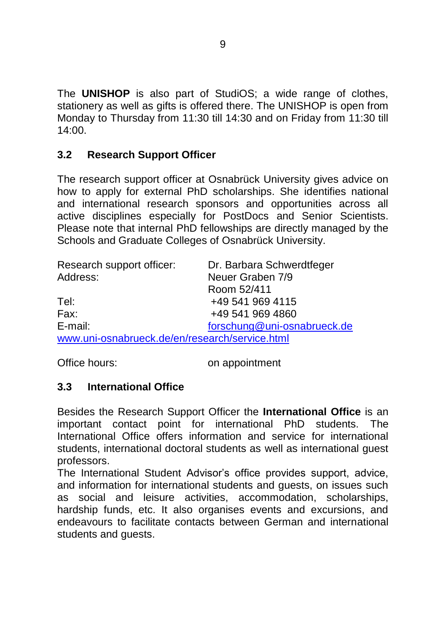The **UNISHOP** is also part of StudiOS; a wide range of clothes, stationery as well as gifts is offered there. The UNISHOP is open from Monday to Thursday from 11:30 till 14:30 and on Friday from 11:30 till 14:00.

## **3.2 Research Support Officer**

The research support officer at Osnabrück University gives advice on how to apply for external PhD scholarships. She identifies national and international research sponsors and opportunities across all active disciplines especially for PostDocs and Senior Scientists. Please note that internal PhD fellowships are directly managed by the Schools and Graduate Colleges of Osnabrück University.

| Research support officer:                      | Dr. Barbara Schwerdtfeger   |
|------------------------------------------------|-----------------------------|
| Address:                                       | Neuer Graben 7/9            |
|                                                | Room 52/411                 |
| Tel:                                           | +49 541 969 4115            |
| Fax:                                           | +49 541 969 4860            |
| E-mail:                                        | forschung@uni-osnabrueck.de |
| www.uni-osnabrueck.de/en/research/service.html |                             |

Office hours: on appointment

#### **3.3 International Office**

Besides the Research Support Officer the **International Office** is an important contact point for international PhD students. The International Office offers information and service for international students, international doctoral students as well as international guest professors.

The International Student Advisor's office provides support, advice, and information for international students and guests, on issues such as social and leisure activities, accommodation, scholarships, hardship funds, etc. It also organises events and excursions, and endeavours to facilitate contacts between German and international students and guests.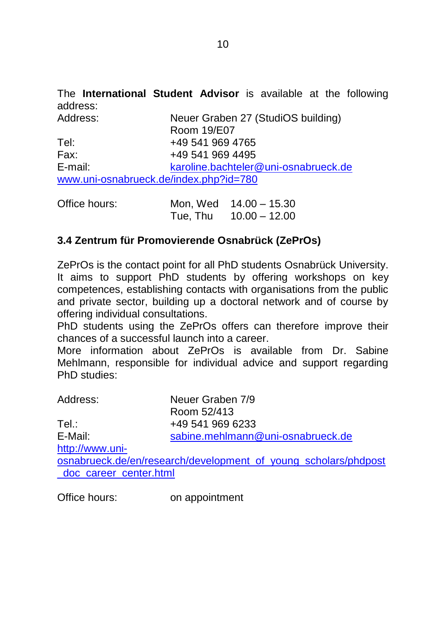The **International Student Advisor** is available at the following address:

| Address: | Neuer Graben 27 (StudiOS building)     |
|----------|----------------------------------------|
|          | Room 19/E07                            |
| Tel:     | +49 541 969 4765                       |
| Fax:     | +49 541 969 4495                       |
| E-mail:  | karoline.bachteler@uni-osnabrueck.de   |
|          | www.uni-osnabrueck.de/index.php?id=780 |

| Office hours: |          | Mon, Wed 14.00 - 15.30 |
|---------------|----------|------------------------|
|               | Tue, Thu | $10.00 - 12.00$        |

# **3.4 Zentrum für Promovierende Osnabrück (ZePrOs)**

ZePrOs is the contact point for all PhD students Osnabrück University. It aims to support PhD students by offering workshops on key competences, establishing contacts with organisations from the public and private sector, building up a doctoral network and of course by offering individual consultations.

PhD students using the ZePrOs offers can therefore improve their chances of a successful launch into a career.

More information about ZePrOs is available from Dr. Sabine Mehlmann, responsible for individual advice and support regarding PhD studies:

| Address:               | Neuer Graben 7/9                                                |
|------------------------|-----------------------------------------------------------------|
|                        | Room 52/413                                                     |
| Tel.:                  | +49 541 969 6233                                                |
| E-Mail:                | sabine.mehlmann@uni-osnabrueck.de                               |
| http://www.uni-        |                                                                 |
|                        | osnabrueck.de/en/research/development_of_young_scholars/phdpost |
| doc career center.html |                                                                 |
|                        |                                                                 |

Office hours: on appointment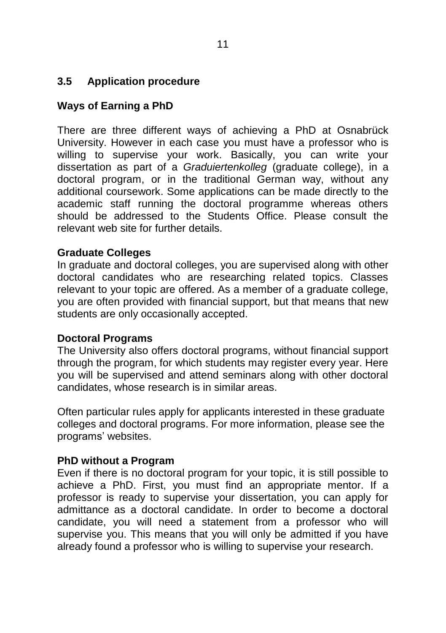## **3.5 Application procedure**

# **Ways of Earning a PhD**

There are three different ways of achieving a PhD at Osnabrück University. However in each case you must have a professor who is willing to supervise your work. Basically, you can write your dissertation as part of a *Graduiertenkolleg* (graduate college), in a doctoral program, or in the traditional German way, without any additional coursework. Some applications can be made directly to the academic staff running the doctoral programme whereas others should be addressed to the Students Office. Please consult the relevant web site for further details.

#### **Graduate Colleges**

In graduate and doctoral colleges, you are supervised along with other doctoral candidates who are researching related topics. Classes relevant to your topic are offered. As a member of a graduate college, you are often provided with financial support, but that means that new students are only occasionally accepted.

#### **Doctoral Programs**

The University also offers doctoral programs, without financial support through the program, for which students may register every year. Here you will be supervised and attend seminars along with other doctoral candidates, whose research is in similar areas.

Often particular rules apply for applicants interested in these graduate colleges and doctoral programs. For more information, please see the programs' websites.

#### **PhD without a Program**

Even if there is no doctoral program for your topic, it is still possible to achieve a PhD. First, you must find an appropriate mentor. If a professor is ready to supervise your dissertation, you can apply for admittance as a doctoral candidate. In order to become a doctoral candidate, you will need a statement from a professor who will supervise you. This means that you will only be admitted if you have already found a professor who is willing to supervise your research.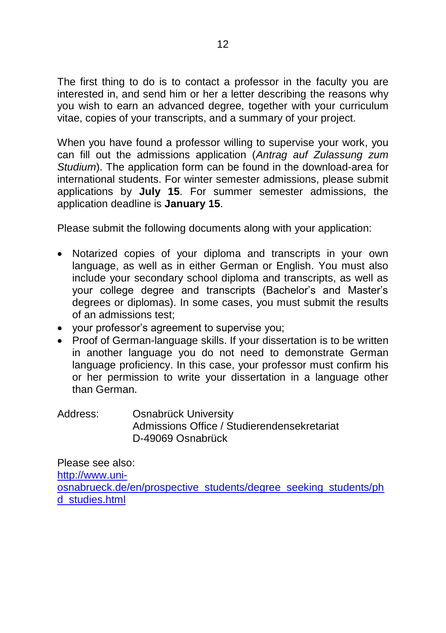The first thing to do is to contact a professor in the faculty you are interested in, and send him or her a letter describing the reasons why you wish to earn an advanced degree, together with your curriculum vitae, copies of your transcripts, and a summary of your project.

When you have found a professor willing to supervise your work, you can fill out the admissions application (*Antrag auf Zulassung zum Studium*). The application form can be found in the [download-area f](http://www.uni-osnabrueck.de/standard_en/2377.html)or international students. For winter semester admissions, please submit applications by **July 15**. For summer semester admissions, the application deadline is **January 15**.

Please submit the following documents along with your application:

- Notarized copies of your diploma and transcripts in your own language, as well as in either German or English. You must also include your secondary school diploma and transcripts, as well as your college degree and transcripts (Bachelor's and Master's degrees or diplomas). In some cases, you must submit the results of an admissions test;
- your professor's agreement to supervise you;
- Proof of German-language skills. If your dissertation is to be written in another language you do not need to demonstrate German language proficiency. In this case, your professor must confirm his or her permission to write your dissertation in a language other than German.

Address: Osnabrück University Admissions Office / Studierendensekretariat D-49069 Osnabrück

Please see also: [http://www.uni](http://www.uni-osnabrueck.de/en/prospective_students/degree_seeking_students/phd_studies.html)[osnabrueck.de/en/prospective\\_students/degree\\_seeking\\_students/ph](http://www.uni-osnabrueck.de/en/prospective_students/degree_seeking_students/phd_studies.html) [d\\_studies.html](http://www.uni-osnabrueck.de/en/prospective_students/degree_seeking_students/phd_studies.html)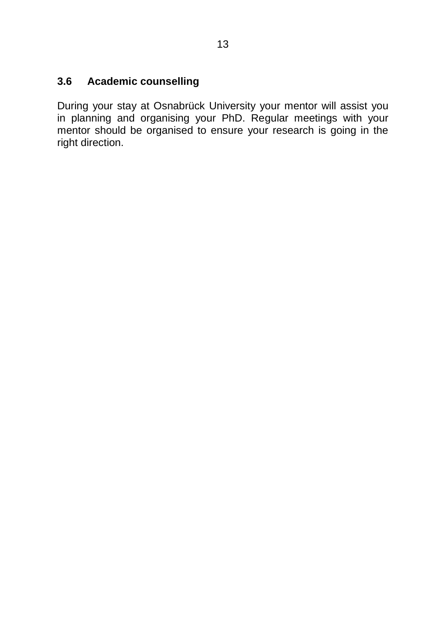## **3.6 Academic counselling**

During your stay at Osnabrück University your mentor will assist you in planning and organising your PhD. Regular meetings with your mentor should be organised to ensure your research is going in the right direction.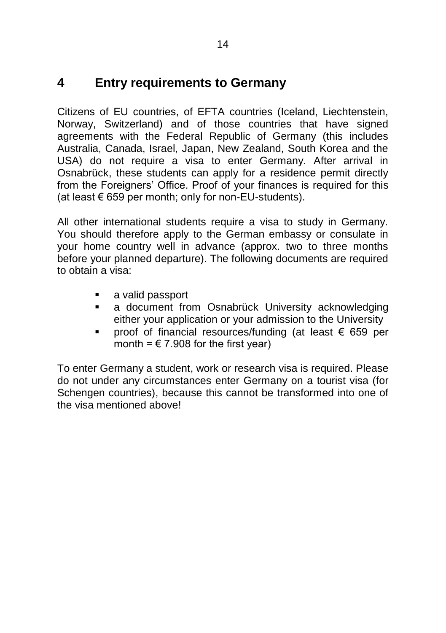# **4 Entry requirements to Germany**

Citizens of EU countries, of EFTA countries (Iceland, Liechtenstein, Norway, Switzerland) and of those countries that have signed agreements with the Federal Republic of Germany (this includes Australia, Canada, Israel, Japan, New Zealand, South Korea and the USA) do not require a visa to enter Germany. After arrival in Osnabrück, these students can apply for a residence permit directly from the Foreigners' Office. Proof of your finances is required for this (at least  $€ 659$  per month; only for non-EU-students).

All other international students require a visa to study in Germany. You should therefore apply to the German embassy or consulate in your home country well in advance (approx. two to three months before your planned departure). The following documents are required to obtain a visa:

- a valid passport
- a document from Osnabrück University acknowledging either your application or your admission to the University
- proof of financial resources/funding (at least € 659 per month =  $\in$  7.908 for the first year)

To enter Germany a student, work or research visa is required. Please do not under any circumstances enter Germany on a tourist visa (for Schengen countries), because this cannot be transformed into one of the visa mentioned above!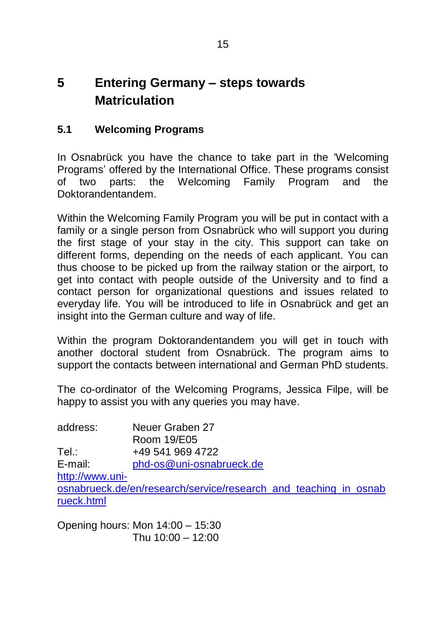# **5 Entering Germany – steps towards Matriculation**

# **5.1 Welcoming Programs**

In Osnabrück you have the chance to take part in the 'Welcoming Programs' offered by the International Office. These programs consist of two parts: the Welcoming Family Program and the Doktorandentandem.

Within the Welcoming Family Program you will be put in contact with a family or a single person from Osnabrück who will support you during the first stage of your stay in the city. This support can take on different forms, depending on the needs of each applicant. You can thus choose to be picked up from the railway station or the airport, to get into contact with people outside of the University and to find a contact person for organizational questions and issues related to everyday life. You will be introduced to life in Osnabrück and get an insight into the German culture and way of life.

Within the program Doktorandentandem you will get in touch with another doctoral student from Osnabrück. The program aims to support the contacts between international and German PhD students.

The co-ordinator of the Welcoming Programs, Jessica Filpe, will be happy to assist you with any queries you may have.

address: Neuer Graben 27 Room 19/E05 Tel.: +49 541 969 4722 E-mail: [phd-os@uni-osnabrueck.de](mailto:phd-os@uni-osnabrueck.de) [http://www.uni](http://www.uni-osnabrueck.de/en/research/service/research_and_teaching_in_osnabrueck.html)[osnabrueck.de/en/research/service/research\\_and\\_teaching\\_in\\_osnab](http://www.uni-osnabrueck.de/en/research/service/research_and_teaching_in_osnabrueck.html) [rueck.html](http://www.uni-osnabrueck.de/en/research/service/research_and_teaching_in_osnabrueck.html)

Opening hours: Mon 14:00 – 15:30 Thu 10:00 – 12:00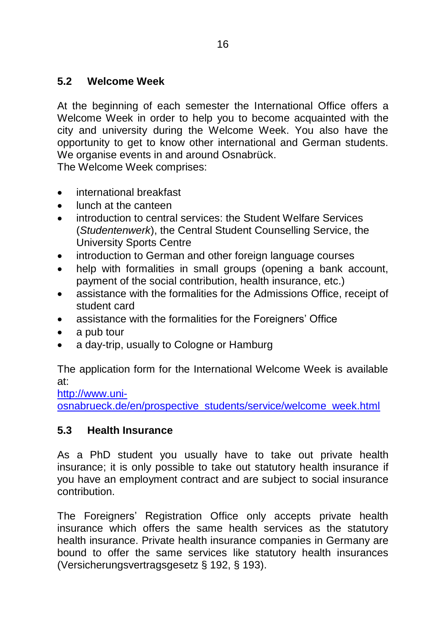## **5.2 Welcome Week**

At the beginning of each semester the International Office offers a Welcome Week in order to help you to become acquainted with the city and university during the Welcome Week. You also have the opportunity to get to know other international and German students. We organise events in and around Osnabrück.

The Welcome Week comprises:

- international breakfast
- lunch at the canteen
- introduction to central services: the Student Welfare Services (*Studentenwerk*), the Central Student Counselling Service, the University Sports Centre
- introduction to German and other foreign language courses
- help with formalities in small groups (opening a bank account, payment of the social contribution, health insurance, etc.)
- assistance with the formalities for the Admissions Office, receipt of student card
- assistance with the formalities for the Foreigners' Office
- a pub tour
- a day-trip, usually to Cologne or Hamburg

The application form for the International Welcome Week is available at:

[http://www.uni](http://www.uni-osnabrueck.de/en/prospective_students/service/welcome_week.html)[osnabrueck.de/en/prospective\\_students/service/welcome\\_week.html](http://www.uni-osnabrueck.de/en/prospective_students/service/welcome_week.html)

#### **5.3 Health Insurance**

As a PhD student you usually have to take out private health insurance; it is only possible to take out statutory health insurance if you have an employment contract and are subject to social insurance contribution.

The Foreigners' Registration Office only accepts private health insurance which offers the same health services as the statutory health insurance. Private health insurance companies in Germany are bound to offer the same services like statutory health insurances (Versicherungsvertragsgesetz § 192, § 193).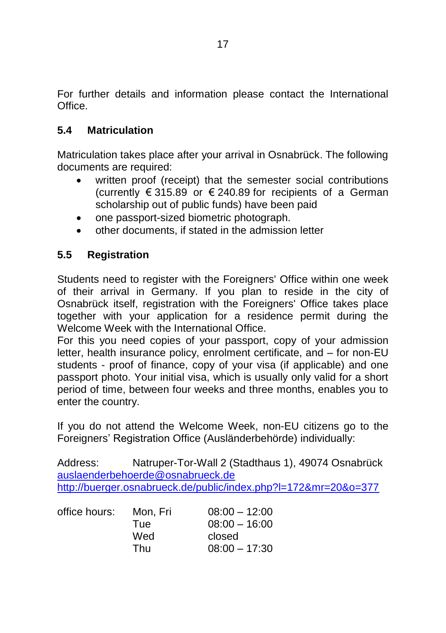For further details and information please contact the International **Office** 

## **5.4 Matriculation**

Matriculation takes place after your arrival in Osnabrück. The following documents are required:

- written proof (receipt) that the semester social contributions (currently € 315.89 or € 240.89 for recipients of a German scholarship out of public funds) have been paid
- one passport-sized biometric photograph.
- other documents, if stated in the admission letter

#### **5.5 Registration**

Students need to register with the Foreigners' Office within one week of their arrival in Germany. If you plan to reside in the city of Osnabrück itself, registration with the Foreigners' Office takes place together with your application for a residence permit during the Welcome Week with the International Office.

For this you need copies of your passport, copy of your admission letter, health insurance policy, enrolment certificate, and – for non-EU students - proof of finance, copy of your visa (if applicable) and one passport photo. Your initial visa, which is usually only valid for a short period of time, between four weeks and three months, enables you to enter the country.

If you do not attend the Welcome Week, non-EU citizens go to the Foreigners' Registration Office (Ausländerbehörde) individually:

Address: Natruper-Tor-Wall 2 (Stadthaus 1), 49074 Osnabrück [auslaenderbehoerde@osnabrueck.de](mailto:auslaenderbehoerde@osnabrueck.de) <http://buerger.osnabrueck.de/public/index.php?l=172&mr=20&o=377>

| office hours: | Mon. Fri   | $08:00 - 12:00$ |
|---------------|------------|-----------------|
|               | <b>Tue</b> | $08:00 - 16:00$ |
|               | Wed        | closed          |
|               | Thu        | $08:00 - 17:30$ |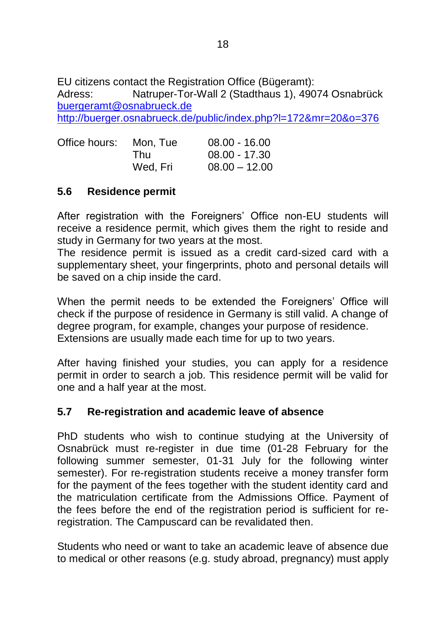EU citizens contact the Registration Office (Bügeramt): Adress: Natruper-Tor-Wall 2 (Stadthaus 1), 49074 Osnabrück [buergeramt@osnabrueck.de](mailto:buergeramt@osnabrueck.de) <http://buerger.osnabrueck.de/public/index.php?l=172&mr=20&o=376>

| Office hours: | Mon. Tue | $08.00 - 16.00$ |
|---------------|----------|-----------------|
|               | Thu      | $08.00 - 17.30$ |
|               | Wed. Fri | $08.00 - 12.00$ |

## **5.6 Residence permit**

After registration with the Foreigners' Office non-EU students will receive a residence permit, which gives them the right to reside and study in Germany for two years at the most.

The residence permit is issued as a credit card-sized card with a supplementary sheet, your fingerprints, photo and personal details will be saved on a chip inside the card.

When the permit needs to be extended the Foreigners' Office will check if the purpose of residence in Germany is still valid. A change of degree program, for example, changes your purpose of residence. Extensions are usually made each time for up to two years.

After having finished your studies, you can apply for a residence permit in order to search a job. This residence permit will be valid for one and a half year at the most.

#### **5.7 Re-registration and academic leave of absence**

PhD students who wish to continue studying at the University of Osnabrück must re-register in due time (01-28 February for the following summer semester, 01-31 July for the following winter semester). For re-registration students receive a money transfer form for the payment of the fees together with the student identity card and the matriculation certificate from the Admissions Office. Payment of the fees before the end of the registration period is sufficient for reregistration. The Campuscard can be revalidated then.

Students who need or want to take an academic leave of absence due to medical or other reasons (e.g. study abroad, pregnancy) must apply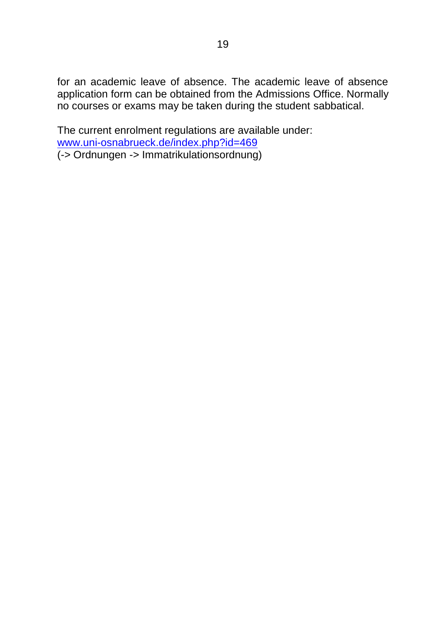for an academic leave of absence. The academic leave of absence application form can be obtained from the Admissions Office. Normally no courses or exams may be taken during the student sabbatical.

The current enrolment regulations are available under: [www.uni-osnabrueck.de/index.php?id=469](http://www.uni-osnabrueck.de/index.php?id=469) (-> Ordnungen -> Immatrikulationsordnung)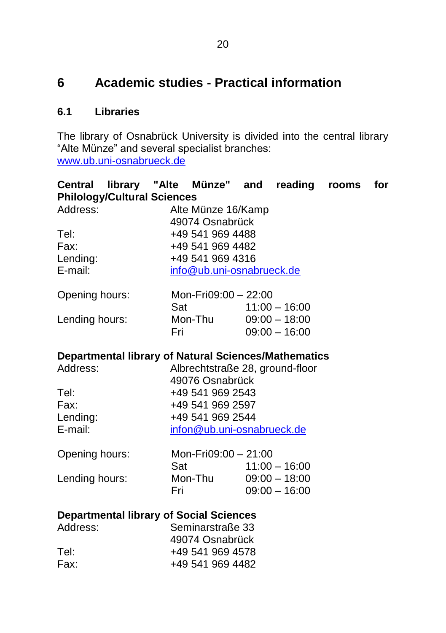# **6 Academic studies - Practical information**

# **6.1 Libraries**

The library of Osnabrück University is divided into the central library "Alte Münze" and several specialist branches: [www.ub.uni-osnabrueck.de](http://www.ub.uni-osnabrueck.de/)

| Central library "Alte Münze" and reading                    |                                    |                                 |  |                 | rooms | for |
|-------------------------------------------------------------|------------------------------------|---------------------------------|--|-----------------|-------|-----|
|                                                             | <b>Philology/Cultural Sciences</b> |                                 |  |                 |       |     |
| Address:                                                    |                                    | Alte Münze 16/Kamp              |  |                 |       |     |
|                                                             |                                    | 49074 Osnabrück                 |  |                 |       |     |
| Tel:                                                        |                                    | +49 541 969 4488                |  |                 |       |     |
| Fax:                                                        |                                    | +49 541 969 4482                |  |                 |       |     |
| Lending:                                                    |                                    | +49 541 969 4316                |  |                 |       |     |
| E-mail:                                                     |                                    | info@ub.uni-osnabrueck.de       |  |                 |       |     |
| Opening hours:                                              |                                    | Mon-Fri09:00 - 22:00            |  |                 |       |     |
|                                                             | Sat                                |                                 |  | $11:00 - 16:00$ |       |     |
| Lending hours:                                              |                                    | Mon-Thu                         |  | $09:00 - 18:00$ |       |     |
|                                                             |                                    | Fri L                           |  | $09:00 - 16:00$ |       |     |
| <b>Departmental library of Natural Sciences/Mathematics</b> |                                    |                                 |  |                 |       |     |
| Address:                                                    |                                    | Albrechtstraße 28, ground-floor |  |                 |       |     |
|                                                             |                                    | 49076 Osnabrück                 |  |                 |       |     |
| Tel:                                                        |                                    | +49 541 969 2543                |  |                 |       |     |
| Fax:                                                        |                                    | +49 541 969 2597                |  |                 |       |     |
| Lending:                                                    |                                    | +49 541 969 2544                |  |                 |       |     |
| E-mail:                                                     |                                    | infon@ub.uni-osnabrueck.de      |  |                 |       |     |
| Opening hours:                                              |                                    | Mon-Fri09:00 - 21:00            |  |                 |       |     |
|                                                             | Sat                                |                                 |  | $11:00 - 16:00$ |       |     |
| Lending hours:                                              |                                    | Mon-Thu                         |  | $09:00 - 18:00$ |       |     |
|                                                             | Fri                                |                                 |  | $09:00 - 16:00$ |       |     |
| <b>Departmental library of Social Sciences</b>              |                                    |                                 |  |                 |       |     |
| Address:                                                    |                                    | Seminarstraße 33                |  |                 |       |     |
|                                                             |                                    | 49074 Osnabrück                 |  |                 |       |     |
| Tel:                                                        |                                    | +49 541 969 4578                |  |                 |       |     |
| Fax:                                                        |                                    | +49 541 969 4482                |  |                 |       |     |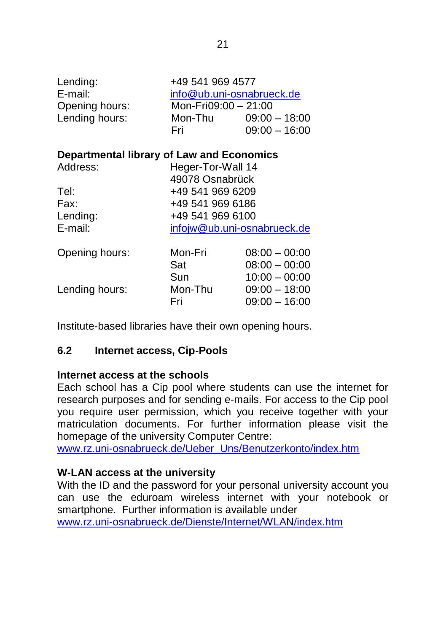| Lending:<br>E-mail:<br>Opening hours:<br>Lending hours: | +49 541 969 4577<br>info@ub.uni-osnabrueck.de<br>Mon-Fri $09:00-21:00$<br>Mon-Thu<br>$09:00 - 18:00$<br>$09:00 - 16:00$<br>Fri |                                                       |  |
|---------------------------------------------------------|--------------------------------------------------------------------------------------------------------------------------------|-------------------------------------------------------|--|
| Departmental library of Law and Economics               |                                                                                                                                |                                                       |  |
| Address:                                                | Heger-Tor-Wall 14<br>49078 Osnabrück                                                                                           |                                                       |  |
| Tel:                                                    | +49 541 969 6209                                                                                                               |                                                       |  |
| Fax:                                                    | +49 541 969 6186                                                                                                               |                                                       |  |
| Lending:                                                | +49 541 969 6100                                                                                                               |                                                       |  |
| E-mail:                                                 | infojw@ub.uni-osnabrueck.de                                                                                                    |                                                       |  |
| Opening hours:                                          | Mon-Fri<br>Sat                                                                                                                 | $08:00 - 00:00$<br>$08:00 - 00:00$                    |  |
| Lending hours:                                          | Sun<br>Mon-Thu<br>Fri                                                                                                          | $10:00 - 00:00$<br>$09:00 - 18:00$<br>$09:00 - 16:00$ |  |

Institute-based libraries have their own opening hours.

#### **6.2 Internet access, Cip-Pools**

#### **Internet access at the schools**

Each school has a Cip pool where students can use the internet for research purposes and for sending e-mails. For access to the Cip pool you require user permission, which you receive together with your matriculation documents. For further information please visit the homepage of the university Computer Centre:

[www.rz.uni-osnabrueck.de/Ueber\\_Uns/Benutzerkonto/index.htm](http://www.rz.uni-osnabrueck.de/Ueber_Uns/Benutzerkonto/index.htm)

#### **W-LAN access at the university**

With the ID and the password for your personal university account you can use the eduroam wireless internet with your notebook or smartphone. Further information is available under [www.rz.uni-osnabrueck.de/Dienste/Internet/WLAN/index.htm](http://www.rz.uni-osnabrueck.de/Dienste/Internet/WLAN/index.htm)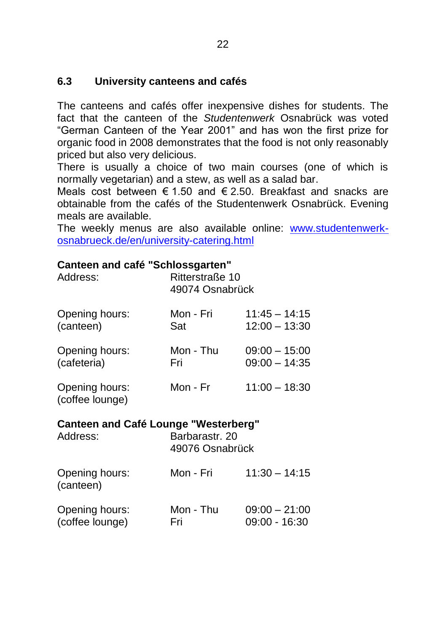## **6.3 University canteens and cafés**

The canteens and cafés offer inexpensive dishes for students. The fact that the canteen of the *Studentenwerk* Osnabrück was voted "German Canteen of the Year 2001" and has won the first prize for organic food in 2008 demonstrates that the food is not only reasonably priced but also very delicious.

There is usually a choice of two main courses (one of which is normally vegetarian) and a stew, as well as a salad bar.

Meals cost between € 1.50 and € 2.50. Breakfast and snacks are obtainable from the cafés of the Studentenwerk Osnabrück. Evening meals are available.

The weekly menus are also available online: [www.studentenwerk](http://www.studentenwerk-osnabrueck.de/en/university-catering.html)[osnabrueck.de/en/university-catering.html](http://www.studentenwerk-osnabrueck.de/en/university-catering.html)

#### **Canteen and café "Schlossgarten"**

| Address:                          | Ritterstraße 10<br>49074 Osnabrück |                 |  |
|-----------------------------------|------------------------------------|-----------------|--|
| Opening hours:                    | Mon - Fri                          | $11:45 - 14:15$ |  |
| (canteen)                         | Sat                                | $12:00 - 13:30$ |  |
| Opening hours:                    | Mon - Thu                          | $09:00 - 15:00$ |  |
| (cafeteria)                       | Fri                                | $09:00 - 14:35$ |  |
| Opening hours:<br>(coffee lounge) | Mon - Fr                           | $11:00 - 18:30$ |  |

#### **Canteen and Café Lounge "Westerberg"**

| Address:                          | Barbarastr. 20<br>49076 Osnabrück |                                    |
|-----------------------------------|-----------------------------------|------------------------------------|
| Opening hours:<br>(canteen)       | Mon - Fri                         | $11:30 - 14:15$                    |
| Opening hours:<br>(coffee lounge) | Mon - Thu<br>Fri                  | $09:00 - 21:00$<br>$09:00 - 16:30$ |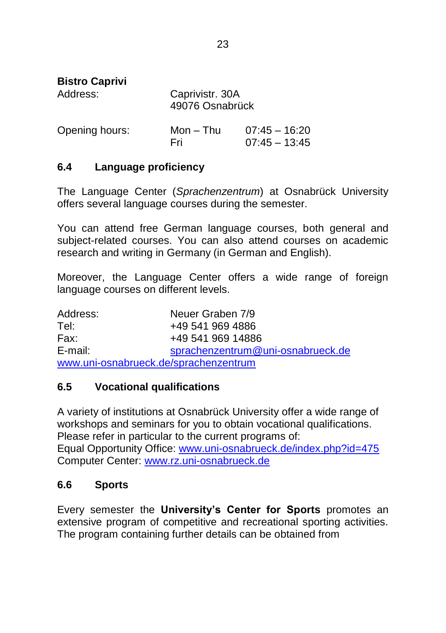| <b>Bistro Caprivi</b><br>Address: | Caprivistr. 30A<br>49076 Osnabrück |                                    |
|-----------------------------------|------------------------------------|------------------------------------|
| Opening hours:                    | Mon – Thu<br>Fri                   | $07:45 - 16:20$<br>$07:45 - 13:45$ |

#### **6.4 Language proficiency**

The Language Center (*Sprachenzentrum*) at Osnabrück University offers several language courses during the semester.

You can attend free German language courses, both general and subject-related courses. You can also attend courses on academic research and writing in Germany (in German and English).

Moreover, the Language Center offers a wide range of foreign language courses on different levels.

| Address:                              | Neuer Graben 7/9                  |  |
|---------------------------------------|-----------------------------------|--|
| Tel:                                  | +49 541 969 4886                  |  |
| Fax:                                  | +49 541 969 14886                 |  |
| E-mail:                               | sprachenzentrum@uni-osnabrueck.de |  |
| www.uni-osnabrueck.de/sprachenzentrum |                                   |  |

#### **6.5 Vocational qualifications**

A variety of institutions at Osnabrück University offer a wide range of workshops and seminars for you to obtain vocational qualifications. Please refer in particular to the current programs of: Equal Opportunity Office: [www.uni-osnabrueck.de/index.php?id=475](http://www.uni-osnabrueck.de/index.php?id=475) Computer Center: [www.rz.uni-osnabrueck.de](http://www.rz.uni-osnabrueck.de/)

# **6.6 Sports**

Every semester the **University's Center for Sports** promotes an extensive program of competitive and recreational sporting activities. The program containing further details can be obtained from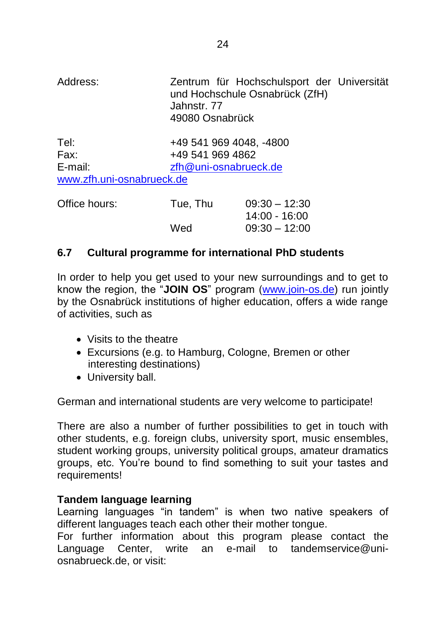| Address:                  | Jahnstr, 77<br>49080 Osnabrück | Zentrum für Hochschulsport der Universität<br>und Hochschule Osnabrück (ZfH) |  |
|---------------------------|--------------------------------|------------------------------------------------------------------------------|--|
| Tel:                      |                                | +49 541 969 4048, -4800                                                      |  |
| Fax:                      |                                | +49 541 969 4862                                                             |  |
| E-mail:                   |                                | zfh@uni-osnabrueck.de                                                        |  |
| www.zfh.uni-osnabrueck.de |                                |                                                                              |  |
| Office hours:             | Tue, Thu                       | $09:30 - 12:30$                                                              |  |
|                           |                                | 14:00 - 16:00                                                                |  |
|                           | Wed                            | $09:30 - 12:00$                                                              |  |

#### **6.7 Cultural programme for international PhD students**

In order to help you get used to your new surroundings and to get to know the region, the "**JOIN OS**" program [\(www.join-os.de\)](http://www.join-os.de/) run jointly by the Osnabrück institutions of higher education, offers a wide range of activities, such as

- Visits to the theatre
- Excursions (e.g. to Hamburg, Cologne, Bremen or other interesting destinations)
- University ball.

German and international students are very welcome to participate!

There are also a number of further possibilities to get in touch with other students, e.g. foreign clubs, university sport, music ensembles, student working groups, university political groups, amateur dramatics groups, etc. You're bound to find something to suit your tastes and requirements!

#### **Tandem language learning**

Learning languages "in tandem" is when two native speakers of different languages teach each other their mother tongue.

For further information about this program please contact the Language Center, write an e-mail to tandemservice@uniosnabrueck.de, or visit: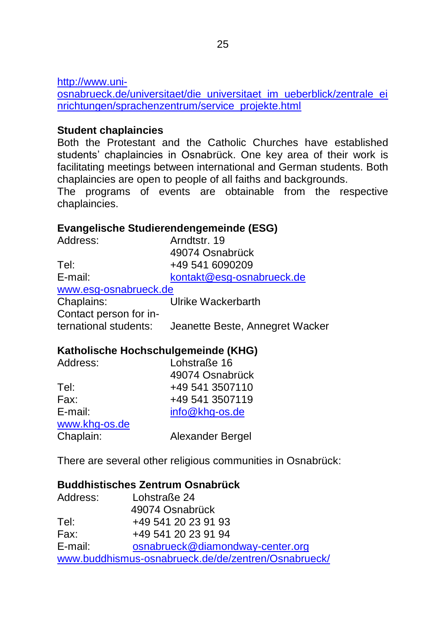[http://www.uni-](http://www.uni-osnabrueck.de/universitaet/die_universitaet_im_ueberblick/zentrale_einrichtungen/sprachenzentrum/service_projekte.html)

[osnabrueck.de/universitaet/die\\_universitaet\\_im\\_ueberblick/zentrale\\_ei](http://www.uni-osnabrueck.de/universitaet/die_universitaet_im_ueberblick/zentrale_einrichtungen/sprachenzentrum/service_projekte.html) [nrichtungen/sprachenzentrum/service\\_projekte.html](http://www.uni-osnabrueck.de/universitaet/die_universitaet_im_ueberblick/zentrale_einrichtungen/sprachenzentrum/service_projekte.html)

#### **Student chaplaincies**

Both the Protestant and the Catholic Churches have established students' chaplaincies in Osnabrück. One key area of their work is facilitating meetings between international and German students. Both chaplaincies are open to people of all faiths and backgrounds.

The programs of events are obtainable from the respective chaplaincies.

## **Evangelische Studierendengemeinde (ESG)**

| Address:               | Arndtstr. 19                    |
|------------------------|---------------------------------|
|                        | 49074 Osnabrück                 |
| Tel:                   | +49 541 6090209                 |
| E-mail:                | kontakt@esg-osnabrueck.de       |
| www.esg-osnabrueck.de  |                                 |
| Chaplains:             | Ulrike Wackerbarth              |
| Contact person for in- |                                 |
| ternational students:  | Jeanette Beste, Annegret Wacker |
|                        |                                 |

#### **Katholische Hochschulgemeinde (KHG)**

| Address:      | Lohstraße 16     |
|---------------|------------------|
|               | 49074 Osnabrück  |
| Tel:          | +49 541 3507110  |
| Fax:          | +49 541 3507119  |
| E-mail:       | info@khg-os.de   |
| www.khg-os.de |                  |
| Chaplain:     | Alexander Bergel |

There are several other religious communities in Osnabrück:

#### **Buddhistisches Zentrum Osnabrück**

| Address: | Lohstraße 24                                        |
|----------|-----------------------------------------------------|
|          | 49074 Osnabrück                                     |
| Tel:     | +49 541 20 23 91 93                                 |
| Fax:     | +49 541 20 23 91 94                                 |
| E-mail:  | osnabrueck@diamondway-center.org                    |
|          | www.buddhismus-osnabrueck.de/de/zentren/Osnabrueck/ |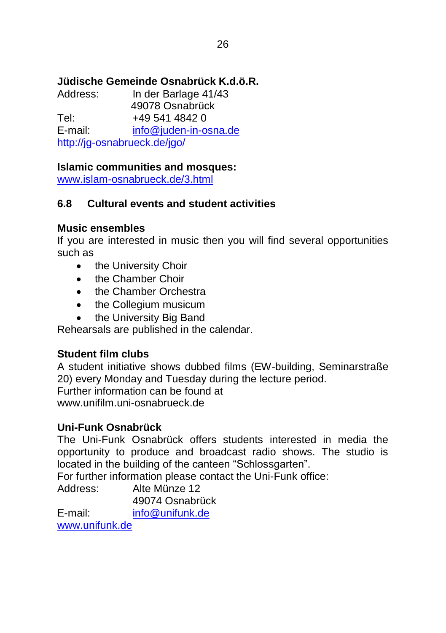# **Jüdische Gemeinde Osnabrück K.d.ö.R.**

In der Barlage 41/43 49078 Osnabrück Tel: +49 541 4842 0<br>
F-mail: info@iuden-in-o  $info@i$ uden-in-osna.de <http://jg-osnabrueck.de/jgo/>

# **Islamic communities and mosques:**

[www.islam-osnabrueck.de/3.html](http://www.islam-osnabrueck.de/3.html)

# **6.8 Cultural events and student activities**

#### **Music ensembles**

If you are interested in music then you will find several opportunities such as

- the University Choir
- **•** the Chamber Choir
- the Chamber Orchestra
- the Collegium musicum
- the University Big Band

Rehearsals are published in the calendar.

# **Student film clubs**

A student initiative shows dubbed films (EW-building, Seminarstraße 20) every Monday and Tuesday during the lecture period. Further information can be found at www.unifilm.uni-osnabrueck.de

# **Uni-Funk Osnabrück**

The Uni-Funk Osnabrück offers students interested in media the opportunity to produce and broadcast radio shows. The studio is located in the building of the canteen "Schlossgarten".

For further information please contact the Uni-Funk office:

Address: Alte Münze 12 49074 Osnabrück E-mail: [info@unifunk.de](mailto:info@unifunk.de) [www.unifunk.de](http://www.unifunk.de/)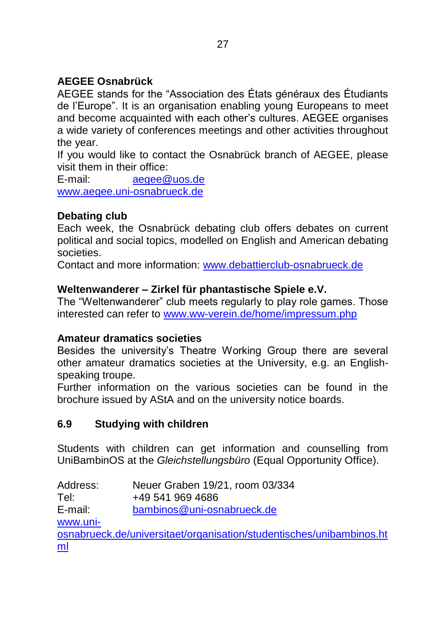# **AEGEE Osnabrück**

AEGEE stands for the "Association des États généraux des Étudiants de l'Europe". It is an organisation enabling young Europeans to meet and become acquainted with each other's cultures. AEGEE organises a wide variety of conferences meetings and other activities throughout the year.

If you would like to contact the Osnabrück branch of AEGEE, please visit them in their office:

E-mail: [aegee@uos.de](mailto:aegee@uos.de) [www.aegee.uni-osnabrueck.de](http://www.aegee.uni-osnabrueck.de/)

# **Debating club**

Each week, the Osnabrück debating club offers debates on current political and social topics, modelled on English and American debating societies.

Contact and more information: [www.debattierclub-osnabrueck.de](http://www.debattierclub-osnabrueck.de/)

## **Weltenwanderer – Zirkel für phantastische Spiele e.V.**

The "Weltenwanderer" club meets regularly to play role games. Those interested can refer to [www.ww-verein.de/home/impressum.php](http://www.ww-verein.de/home/impressum.php)

#### **Amateur dramatics societies**

Besides the university's Theatre Working Group there are several other amateur dramatics societies at the University, e.g. an Englishspeaking troupe.

Further information on the various societies can be found in the brochure issued by AStA and on the university notice boards.

# **6.9 Studying with children**

Students with children can get information and counselling from UniBambinOS at the *Gleichstellungsbüro* (Equal Opportunity Office).

Address: Neuer Graben 19/21, room 03/334 Tel: +49 541 969 4686 E-mail: [bambinos@uni-osnabrueck.de](mailto:bambinos@uni-osnabrueck.de) [www.uni](http://www.uni-osnabrueck.de/universitaet/organisation/studentisches/unibambinos.html)[osnabrueck.de/universitaet/organisation/studentisches/unibambinos.ht](http://www.uni-osnabrueck.de/universitaet/organisation/studentisches/unibambinos.html) [ml](http://www.uni-osnabrueck.de/universitaet/organisation/studentisches/unibambinos.html)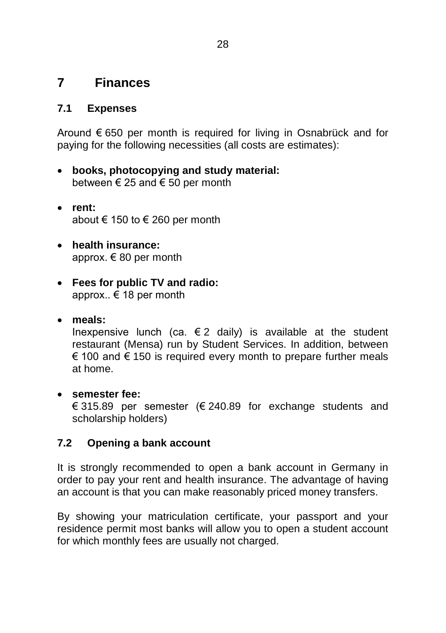# **7 Finances**

## **7.1 Expenses**

Around € 650 per month is required for living in Osnabrück and for paying for the following necessities (all costs are estimates):

- **books, photocopying and study material:** between  $\epsilon$  25 and  $\epsilon$  50 per month
- **rent:** about € 150 to  $∈$  260 per month
- **health insurance:** approx. € 80 per month
- **Fees for public TV and radio:** approx.. € 18 per month
- **meals:**

Inexpensive lunch (ca.  $\epsilon$  2 daily) is available at the student restaurant (Mensa) run by Student Services. In addition, between € 100 and € 150 is required every month to prepare further meals at home.

#### **semester fee:**

€ 315.89 per semester (€ 240.89 for exchange students and scholarship holders)

#### **7.2 Opening a bank account**

It is strongly recommended to open a bank account in Germany in order to pay your rent and health insurance. The advantage of having an account is that you can make reasonably priced money transfers.

By showing your matriculation certificate, your passport and your residence permit most banks will allow you to open a student account for which monthly fees are usually not charged.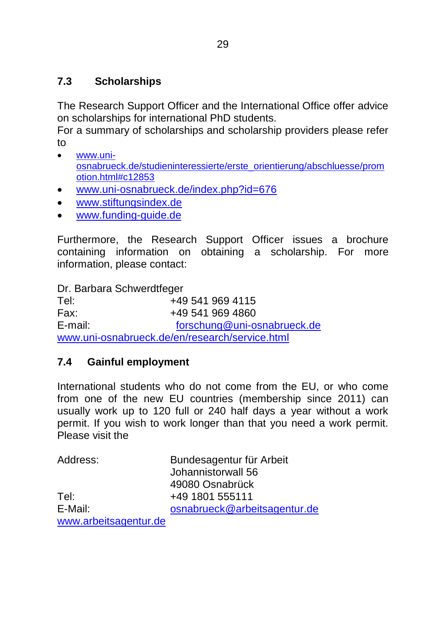# **7.3 Scholarships**

The Research Support Officer and the International Office offer advice on scholarships for international PhD students.

For a summary of scholarships and scholarship providers please refer to

- [www.uni](http://www.uni-osnabrueck.de/studieninteressierte/erste_orientierung/abschluesse/promotion.html#c12853)[osnabrueck.de/studieninteressierte/erste\\_orientierung/abschluesse/prom](http://www.uni-osnabrueck.de/studieninteressierte/erste_orientierung/abschluesse/promotion.html#c12853) [otion.html#c12853](http://www.uni-osnabrueck.de/studieninteressierte/erste_orientierung/abschluesse/promotion.html#c12853)
- [www.uni-osnabrueck.de/index.php?id=676](http://www.uni-osnabrueck.de/index.php?id=676)
- [www.stiftungsindex.de](http://www.stiftungsindex.de/)
- [www.funding-guide.de](http://www.funding-guide.de/)

Furthermore, the Research Support Officer issues a brochure containing information on obtaining a scholarship. For more information, please contact:

Dr. Barbara Schwerdtfeger

Tel: +49 541 969 4115 Fax: +49 541 969 4860 E-mail: [forschung@uni-osnabrueck.de](mailto:forschung@uni-osnabrueck.de) [www.uni-osnabrueck.de/en/research/service.html](http://www.uni-osnabrueck.de/en/research/service.html)

# **7.4 Gainful employment**

International students who do not come from the EU, or who come from one of the new EU countries (membership since 2011) can usually work up to 120 full or 240 half days a year without a work permit. If you wish to work longer than that you need a work permit. Please visit the

| Address:              | Bundesagentur für Arbeit<br>Johannistorwall 56 |
|-----------------------|------------------------------------------------|
|                       | 49080 Osnabrück                                |
| Tel:                  | +49 1801 555111                                |
| E-Mail:               | osnabrueck@arbeitsagentur.de                   |
| www.arbeitsagentur.de |                                                |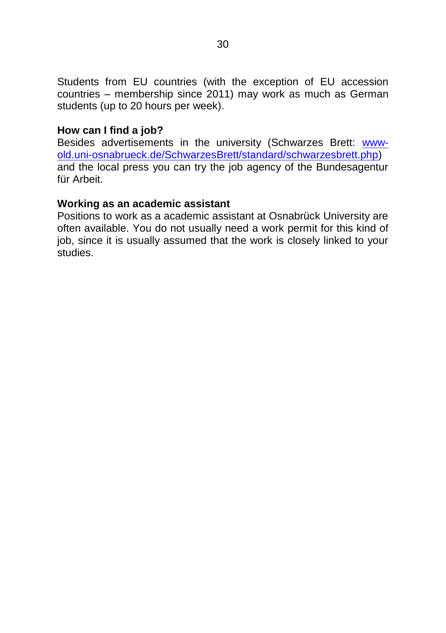Students from EU countries (with the exception of EU accession countries – membership since 2011) may work as much as German students (up to 20 hours per week).

#### **How can I find a job?**

Besides advertisements in the university (Schwarzes Brett: [www](http://www-old.uni-osnabrueck.de/SchwarzesBrett/standard/schwarzesbrett.php)[old.uni-osnabrueck.de/SchwarzesBrett/standard/schwarzesbrett.php\)](http://www-old.uni-osnabrueck.de/SchwarzesBrett/standard/schwarzesbrett.php) and the local press you can try the job agency of the Bundesagentur für Arbeit.

#### **Working as an academic assistant**

Positions to work as a academic assistant at Osnabrück University are often available. You do not usually need a work permit for this kind of job, since it is usually assumed that the work is closely linked to your studies.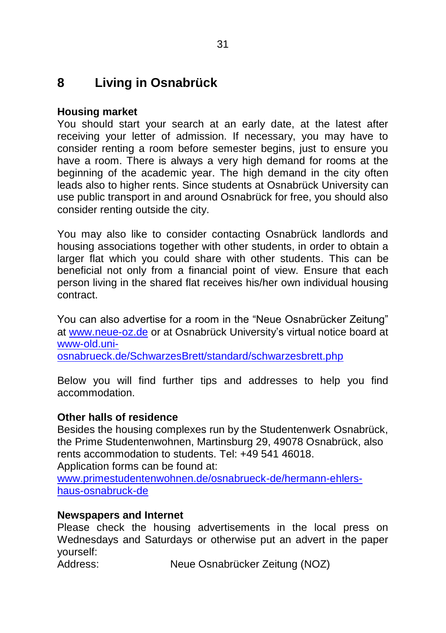# **8 Living in Osnabrück**

#### **Housing market**

You should start your search at an early date, at the latest after receiving your letter of admission. If necessary, you may have to consider renting a room before semester begins, just to ensure you have a room. There is always a very high demand for rooms at the beginning of the academic year. The high demand in the city often leads also to higher rents. Since students at Osnabrück University can use public transport in and around Osnabrück for free, you should also consider renting outside the city.

You may also like to consider contacting Osnabrück landlords and housing associations together with other students, in order to obtain a larger flat which you could share with other students. This can be beneficial not only from a financial point of view. Ensure that each person living in the shared flat receives his/her own individual housing contract.

You can also advertise for a room in the "Neue Osnabrücker Zeitung" at [www.neue-oz.de](http://www.neue-oz.de/) or at Osnabrück University's virtual notice board at [www-old.uni-](http://www-old.uni-osnabrueck.de/SchwarzesBrett/standard/schwarzesbrett.php)

[osnabrueck.de/SchwarzesBrett/standard/schwarzesbrett.php](http://www-old.uni-osnabrueck.de/SchwarzesBrett/standard/schwarzesbrett.php)

Below you will find further tips and addresses to help you find accommodation.

#### **Other halls of residence**

Besides the housing complexes run by the Studentenwerk Osnabrück, the Prime Studentenwohnen, Martinsburg 29, 49078 Osnabrück, also rents accommodation to students. Tel: +49 541 46018.

Application forms can be found at:

[www.primestudentenwohnen.de/osnabrueck-de/hermann-ehlers](http://www.primestudentenwohnen.de/osnabrueck-de/hermann-ehlers-haus-osnabruck-de)[haus-osnabruck-de](http://www.primestudentenwohnen.de/osnabrueck-de/hermann-ehlers-haus-osnabruck-de)

#### **Newspapers and Internet**

Please check the housing advertisements in the local press on Wednesdays and Saturdays or otherwise put an advert in the paper yourself:

Neue Osnabrücker Zeitung (NOZ)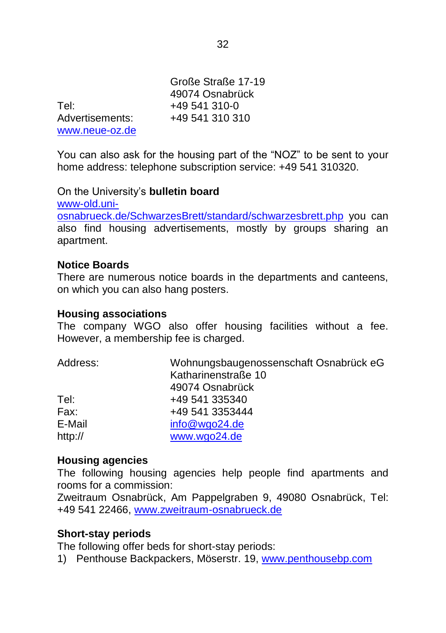Große Straße 17-19 49074 Osnabrück Tel: +49 541 310-0 Advertisements: +49 541 310 310 [www.neue-oz.de](http://www.neue-oz.de/)

You can also ask for the housing part of the "NOZ" to be sent to your home address: telephone subscription service: +49 541 310320.

On the University's **bulletin board**

[www-old.uni](http://www-old.uni-osnabrueck.de/SchwarzesBrett/standard/schwarzesbrett.php)[osnabrueck.de/SchwarzesBrett/standard/schwarzesbrett.php](http://www-old.uni-osnabrueck.de/SchwarzesBrett/standard/schwarzesbrett.php) you can also find housing advertisements, mostly by groups sharing an apartment.

#### **Notice Boards**

There are numerous notice boards in the departments and canteens, on which you can also hang posters.

#### **Housing associations**

The company WGO also offer housing facilities without a fee. However, a membership fee is charged.

| Address: | Wohnungsbaugenossenschaft Osnabrück eG<br>Katharinenstraße 10 |
|----------|---------------------------------------------------------------|
|          | 49074 Osnabrück                                               |
| Tel:     | +49 541 335340                                                |
| Fax:     | +49 541 3353444                                               |
| E-Mail   | info@wgo24.de                                                 |
| http://  | www.wgo24.de                                                  |

#### **Housing agencies**

The following housing agencies help people find apartments and rooms for a commission:

Zweitraum Osnabrück, Am Pappelgraben 9, 49080 Osnabrück, Tel: +49 541 22466, [www.zweitraum-osnabrueck.de](http://www.zweitraum-osnabrueck.de/)

#### **Short-stay periods**

The following offer beds for short-stay periods:

1) Penthouse Backpackers, Möserstr. 19, [www.penthousebp.com](http://www.penthousebp.com/)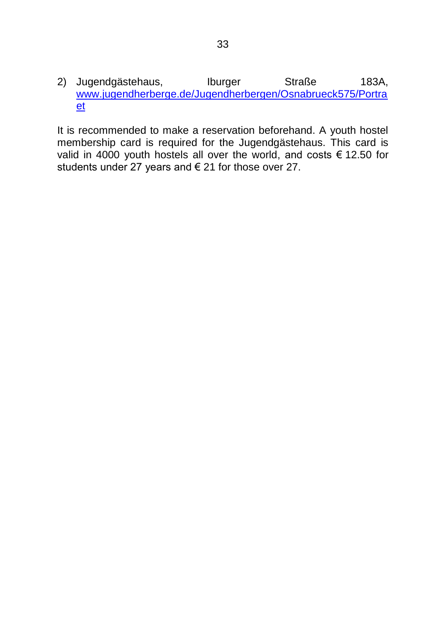2) Jugendgästehaus, Iburger Straße 183A, [www.jugendherberge.de/Jugendherbergen/Osnabrueck575/Portra](http://www.jugendherberge.de/Jugendherbergen/Osnabrueck575/Portraet) [et](http://www.jugendherberge.de/Jugendherbergen/Osnabrueck575/Portraet)

It is recommended to make a reservation beforehand. A youth hostel membership card is required for the Jugendgästehaus. This card is valid in 4000 youth hostels all over the world, and costs € 12.50 for students under 27 years and € 21 for those over 27.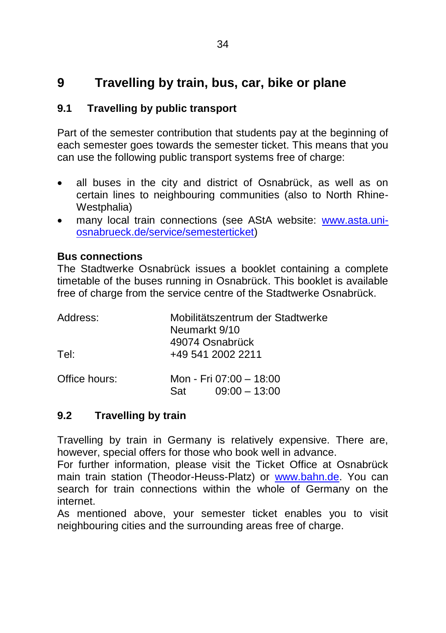# **9 Travelling by train, bus, car, bike or plane**

## **9.1 Travelling by public transport**

Part of the semester contribution that students pay at the beginning of each semester goes towards the semester ticket. This means that you can use the following public transport systems free of charge:

- all buses in the city and district of Osnabrück, as well as on certain lines to neighbouring communities (also to North Rhine-Westphalia)
- many local train connections (see AStA website: [www.asta.uni](http://www.asta.uni-osnabrueck.de/service/semesterticket)[osnabrueck.de/service/semesterticket\)](http://www.asta.uni-osnabrueck.de/service/semesterticket)

#### **Bus connections**

The Stadtwerke Osnabrück issues a booklet containing a complete timetable of the buses running in Osnabrück. This booklet is available free of charge from the service centre of the Stadtwerke Osnabrück.

| Address:      | Mobilitätszentrum der Stadtwerke<br>Neumarkt 9/10<br>49074 Osnabrück |
|---------------|----------------------------------------------------------------------|
| Tel:          | +49 541 2002 2211                                                    |
| Office hours: | Mon - Fri 07:00 - 18:00<br>$09:00 - 13:00$<br>Sat                    |

#### **9.2 Travelling by train**

Travelling by train in Germany is relatively expensive. There are, however, special offers for those who book well in advance.

For further information, please visit the Ticket Office at Osnabrück main train station (Theodor-Heuss-Platz) or [www.bahn.de.](http://www.bahn.de/) You can search for train connections within the whole of Germany on the internet.

As mentioned above, your semester ticket enables you to visit neighbouring cities and the surrounding areas free of charge.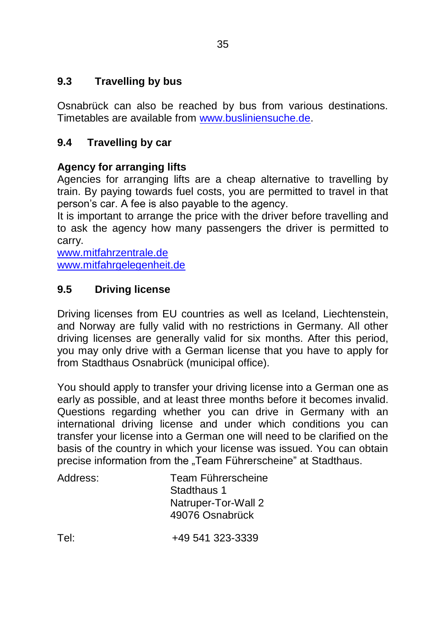# **9.3 Travelling by bus**

Osnabrück can also be reached by bus from various destinations. Timetables are available from [www.busliniensuche.de.](http://www.busliniensuche.de/)

# **9.4 Travelling by car**

# **Agency for arranging lifts**

Agencies for arranging lifts are a cheap alternative to travelling by train. By paying towards fuel costs, you are permitted to travel in that person's car. A fee is also payable to the agency.

It is important to arrange the price with the driver before travelling and to ask the agency how many passengers the driver is permitted to carry.

[www.mitfahrzentrale.de](http://www.mitfahrzentrale.de/) [www.mitfahrgelegenheit.de](http://www.mitfahrgelegenheit.de/)

# **9.5 Driving license**

Driving licenses from EU countries as well as Iceland, Liechtenstein, and Norway are fully valid with no restrictions in Germany. All other driving licenses are generally valid for six months. After this period, you may only drive with a German license that you have to apply for from Stadthaus Osnabrück (municipal office).

You should apply to transfer your driving license into a German one as early as possible, and at least three months before it becomes invalid. Questions regarding whether you can drive in Germany with an international driving license and under which conditions you can transfer your license into a German one will need to be clarified on the basis of the country in which your license was issued. You can obtain precise information from the "Team Führerscheine" at Stadthaus.

| Address: | Team Führerscheine<br>Stadthaus 1<br>Natruper-Tor-Wall 2<br>49076 Osnabrück |
|----------|-----------------------------------------------------------------------------|
| Tel:     | +49 541 323-3339                                                            |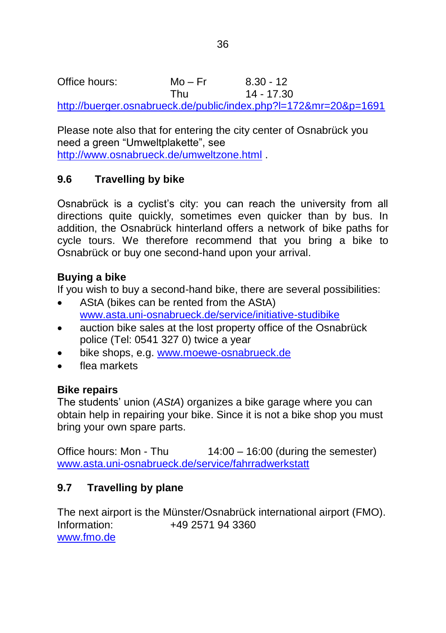Office hours: Mo – Fr 8.30 - 12 Thu 14 - 17.30

<http://buerger.osnabrueck.de/public/index.php?l=172&mr=20&p=1691>

Please note also that for entering the city center of Osnabrück you need a green "Umweltplakette", see <http://www.osnabrueck.de/umweltzone.html> .

# **9.6 Travelling by bike**

Osnabrück is a cyclist's city: you can reach the university from all directions quite quickly, sometimes even quicker than by bus. In addition, the Osnabrück hinterland offers a network of bike paths for cycle tours. We therefore recommend that you bring a bike to Osnabrück or buy one second-hand upon your arrival.

## **Buying a bike**

If you wish to buy a second-hand bike, there are several possibilities:

- AStA (bikes can be rented from the AStA) [www.asta.uni-osnabrueck.de/service/initiative-studibike](http://www.asta.uni-osnabrueck.de/service/initiative-studibike)
- auction bike sales at the lost property office of the Osnabrück police (Tel: 0541 327 0) twice a year
- bike shops, e.g. [www.moewe-osnabrueck.de](http://www.moewe-osnabrueck.de/)
- flea markets

#### **Bike repairs**

The students' union (*AStA*) organizes a bike garage where you can obtain help in repairing your bike. Since it is not a bike shop you must bring your own spare parts.

Office hours: Mon - Thu 14:00 – 16:00 (during the semester) [www.asta.uni-osnabrueck.de/service/fahrradwerkstatt](http://www.asta.uni-osnabrueck.de/service/fahrradwerkstatt)

# **9.7 Travelling by plane**

The next airport is the Münster/Osnabrück international airport (FMO). Information: +49 2571 94 3360 [www.fmo.de](http://www.fmo.de/)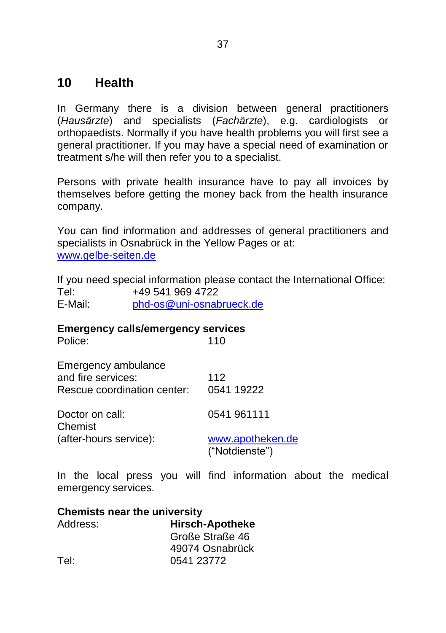# **10 Health**

In Germany there is a division between general practitioners (*Hausärzte*) and specialists (*Fachärzte*), e.g. cardiologists or orthopaedists. Normally if you have health problems you will first see a general practitioner. If you may have a special need of examination or treatment s/he will then refer you to a specialist.

Persons with private health insurance have to pay all invoices by themselves before getting the money back from the health insurance company.

You can find information and addresses of general practitioners and specialists in Osnabrück in the Yellow Pages or at: [www.gelbe-seiten.de](http://www.gelbe-seiten.de/)

If you need special information please contact the International Office: Tel: +49 541 969 4722 E-Mail: [phd-os@uni-osnabrueck.de](mailto:phd-os@uni-osnabrueck.de)

# **Emergency calls/emergency services**

| Police:                                                                  | 110                                |
|--------------------------------------------------------------------------|------------------------------------|
| Emergency ambulance<br>and fire services:<br>Rescue coordination center: | 112<br>0541 19222                  |
| Doctor on call:<br>Chemist                                               | 0541 961111                        |
| (after-hours service):                                                   | www.apotheken.de<br>("Notdienste") |

In the local press you will find information about the medical emergency services.

| <b>Chemists near the university</b> |                        |  |
|-------------------------------------|------------------------|--|
| Address:                            | <b>Hirsch-Apotheke</b> |  |
|                                     | Große Straße 46        |  |
|                                     | 49074 Osnabrück        |  |
| Tel:                                | 0541 23772             |  |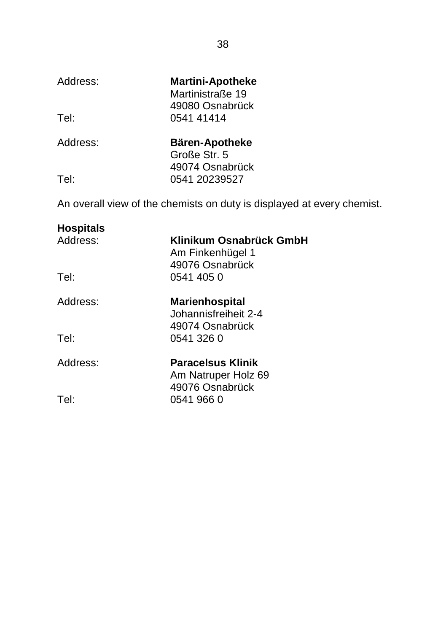| Address: | <b>Martini-Apotheke</b> |
|----------|-------------------------|
|          | Martinistraße 19        |
|          | 49080 Osnabrück         |
| Tel:     | 0541 41414              |
|          |                         |

| Address: | <b>Bären-Apotheke</b> |
|----------|-----------------------|
|          | Große Str. 5          |
|          | 49074 Osnabrück       |
| Tel:     | 0541 20239527         |
|          |                       |

An overall view of the chemists on duty is displayed at every chemist.

| <b>Hospitals</b><br>Address: | Klinikum Osnabrück GmbH<br>Am Finkenhügel 1<br>49076 Osnabrück   |
|------------------------------|------------------------------------------------------------------|
| Tel:                         | 0541 405 0                                                       |
| Address:                     | <b>Marienhospital</b><br>Johannisfreiheit 2-4<br>49074 Osnabrück |
| Tel:                         | 0541 326 0                                                       |
| Address:                     | Paracelsus Klinik<br>Am Natruper Holz 69<br>49076 Osnabrück      |
| Tel:                         | 0541 966 0                                                       |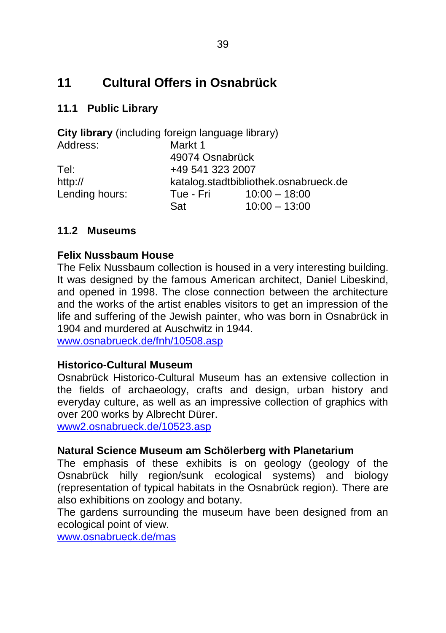# **11 Cultural Offers in Osnabrück**

# **11.1 Public Library**

| City library (including foreign language library) |                  |                                       |
|---------------------------------------------------|------------------|---------------------------------------|
| Address:                                          | Markt 1          |                                       |
|                                                   | 49074 Osnabrück  |                                       |
| Tel∶                                              | +49 541 323 2007 |                                       |
| http://                                           |                  | katalog.stadtbibliothek.osnabrueck.de |
| Lending hours:                                    | Tue - Fri        | $10:00 - 18:00$                       |
|                                                   | Sat              | $10:00 - 13:00$                       |

## **11.2 Museums**

#### **Felix Nussbaum House**

The Felix Nussbaum collection is housed in a very interesting building. It was designed by the famous American architect, Daniel Libeskind, and opened in 1998. The close connection between the architecture and the works of the artist enables visitors to get an impression of the life and suffering of the Jewish painter, who was born in Osnabrück in 1904 and murdered at Auschwitz in 1944.

[www.osnabrueck.de/fnh/10508.asp](http://www.osnabrueck.de/fnh/10508.asp)

#### **Historico-Cultural Museum**

Osnabrück Historico-Cultural Museum has an extensive collection in the fields of archaeology, crafts and design, urban history and everyday culture, as well as an impressive collection of graphics with over 200 works by Albrecht Dürer.

[www2.osnabrueck.de/10523.asp](../../../../../Ernesto/Broschüren/www2.osnabrueck.de/10523.asp)

#### **Natural Science Museum am Schölerberg with Planetarium**

The emphasis of these exhibits is on geology (geology of the Osnabrück hilly region/sunk ecological systems) and biology (representation of typical habitats in the Osnabrück region). There are also exhibitions on zoology and botany.

The gardens surrounding the museum have been designed from an ecological point of view.

[www.osnabrueck.de/mas](http://www.osnabrueck.de/mas)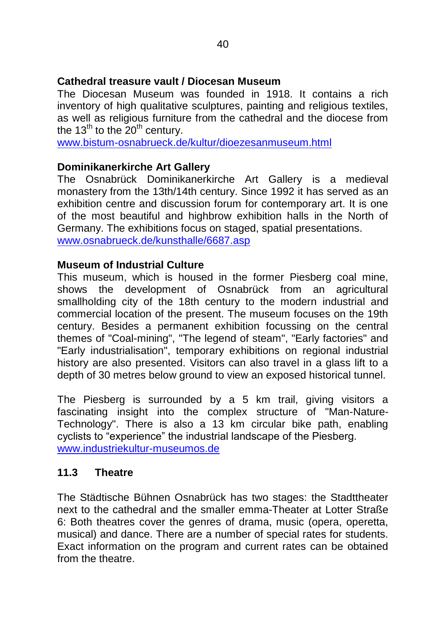#### **Cathedral treasure vault / Diocesan Museum**

The Diocesan Museum was founded in 1918. It contains a rich inventory of high qualitative sculptures, painting and religious textiles, as well as religious furniture from the cathedral and the diocese from the  $13^{th}$  to the  $20^{th}$  century.

[www.bistum-osnabrueck.de/kultur/dioezesanmuseum.html](http://www.bistum-osnabrueck.de/kultur/dioezesanmuseum.html)

#### **Dominikanerkirche Art Gallery**

The Osnabrück Dominikanerkirche Art Gallery is a medieval monastery from the 13th/14th century. Since 1992 it has served as an exhibition centre and discussion forum for contemporary art. It is one of the most beautiful and highbrow exhibition halls in the North of Germany. The exhibitions focus on staged, spatial presentations. [www.osnabrueck.de/kunsthalle/6687.asp](http://www.osnabrueck.de/kunsthalle/6687.asp)

#### **Museum of Industrial Culture**

This museum, which is housed in the former Piesberg coal mine, shows the development of Osnabrück from an agricultural smallholding city of the 18th century to the modern industrial and commercial location of the present. The museum focuses on the 19th century. Besides a permanent exhibition focussing on the central themes of "Coal-mining", "The legend of steam", "Early factories" and "Early industrialisation", temporary exhibitions on regional industrial history are also presented. Visitors can also travel in a glass lift to a depth of 30 metres below ground to view an exposed historical tunnel.

The Piesberg is surrounded by a 5 km trail, giving visitors a fascinating insight into the complex structure of "Man-Nature-Technology". There is also a 13 km circular bike path, enabling cyclists to "experience" the industrial landscape of the Piesberg. [www.industriekultur-museumos.de](http://www.industriekultur-museumos.de/)

## **11.3 Theatre**

The Städtische Bühnen Osnabrück has two stages: the Stadttheater next to the cathedral and the smaller emma-Theater at Lotter Straße 6: Both theatres cover the genres of drama, music (opera, operetta, musical) and dance. There are a number of special rates for students. Exact information on the program and current rates can be obtained from the theatre.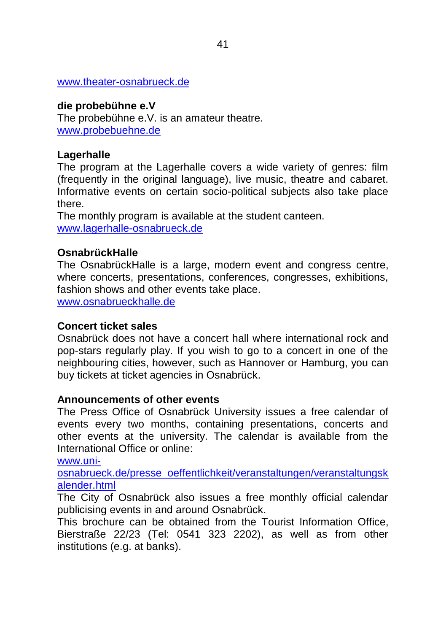#### [www.theater-osnabrueck.de](http://www.theater-osnabrueck.de/)

#### **die probebühne e.V**

The probebühne e.V. is an amateur theatre. [www.probebuehne.de](http://www.probebuehne.de/)

#### **Lagerhalle**

The program at the Lagerhalle covers a wide variety of genres: film (frequently in the original language), live music, theatre and cabaret. Informative events on certain socio-political subjects also take place there.

The monthly program is available at the student canteen. [www.lagerhalle-osnabrueck.de](http://www.lagerhalle-osnabrueck.de/)

#### **OsnabrückHalle**

The OsnabrückHalle is a large, modern event and congress centre, where concerts, presentations, conferences, congresses, exhibitions, fashion shows and other events take place.

[www.osnabrueckhalle.de](http://www.osnabrueckhalle.de/)

#### **Concert ticket sales**

Osnabrück does not have a concert hall where international rock and pop-stars regularly play. If you wish to go to a concert in one of the neighbouring cities, however, such as Hannover or Hamburg, you can buy tickets at ticket agencies in Osnabrück.

#### **Announcements of other events**

The Press Office of Osnabrück University issues a free calendar of events every two months, containing presentations, concerts and other events at the university. The calendar is available from the International Office or online:

[www.uni-](http://www.uni-osnabrueck.de/presse_oeffentlichkeit/veranstaltungen/veranstaltungskalender.html)

[osnabrueck.de/presse\\_oeffentlichkeit/veranstaltungen/veranstaltungsk](http://www.uni-osnabrueck.de/presse_oeffentlichkeit/veranstaltungen/veranstaltungskalender.html) [alender.html](http://www.uni-osnabrueck.de/presse_oeffentlichkeit/veranstaltungen/veranstaltungskalender.html)

The City of Osnabrück also issues a free monthly official calendar publicising events in and around Osnabrück.

This brochure can be obtained from the Tourist Information Office, Bierstraße 22/23 (Tel: 0541 323 2202), as well as from other institutions (e.g. at banks).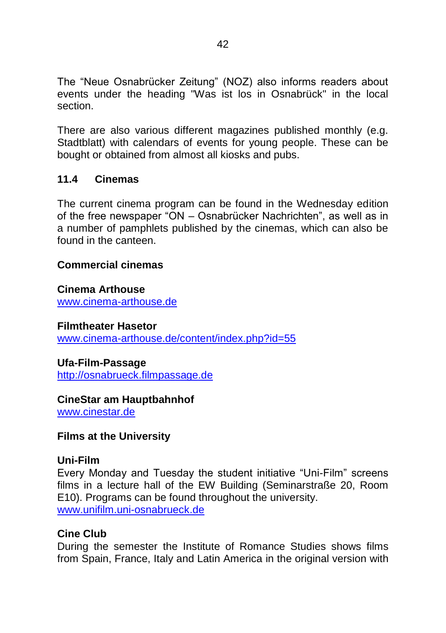The "Neue Osnabrücker Zeitung" (NOZ) also informs readers about events under the heading "Was ist los in Osnabrück" in the local section.

There are also various different magazines published monthly (e.g. Stadtblatt) with calendars of events for young people. These can be bought or obtained from almost all kiosks and pubs.

## **11.4 Cinemas**

The current cinema program can be found in the Wednesday edition of the free newspaper "ON – Osnabrücker Nachrichten", as well as in a number of pamphlets published by the cinemas, which can also be found in the canteen.

#### **Commercial cinemas**

**Cinema Arthouse** [www.cinema-arthouse.de](http://www.cinema-arthouse.de/)

#### **Filmtheater Hasetor**

[www.cinema-arthouse.de/content/index.php?id=55](http://www.cinema-arthouse.de/content/index.php?id=55)

#### **Ufa-Film-Passage**

[http://osnabrueck.filmpassage.de](http://osnabrueck.filmpassage.de/)

#### **CineStar am Hauptbahnhof**

[www.cinestar.de](http://www.cinestar.de/)

#### **Films at the University**

#### **Uni-Film**

Every Monday and Tuesday the student initiative "Uni-Film" screens films in a lecture hall of the EW Building (Seminarstraße 20, Room E10). Programs can be found throughout the university. [www.unifilm.uni-osnabrueck.de](http://www.unifilm.uni-osnabrueck.de/)

#### **Cine Club**

During the semester the Institute of Romance Studies shows films from Spain, France, Italy and Latin America in the original version with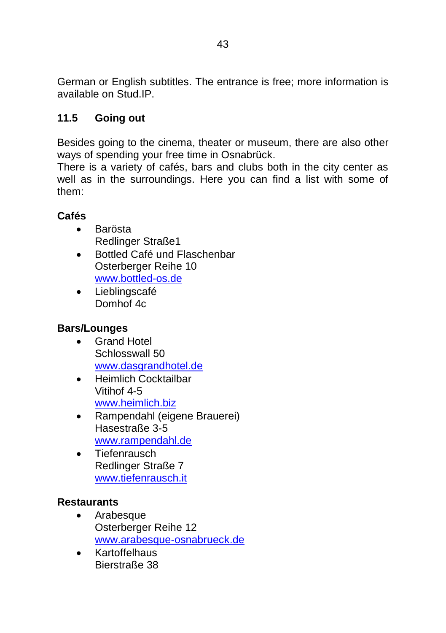German or English subtitles. The entrance is free; more information is available on Stud.IP.

# **11.5 Going out**

Besides going to the cinema, theater or museum, there are also other ways of spending your free time in Osnabrück.

There is a variety of cafés, bars and clubs both in the city center as well as in the surroundings. Here you can find a list with some of them:

## **Cafés**

- **•** Barösta Redlinger Straße1
- Bottled Café und Flaschenbar Osterberger Reihe 10 [www.bottled-os.de](http://www.bottled-os.de/)
- Lieblingscafé Domhof 4c

# **Bars/Lounges**

- Grand Hotel Schlosswall 50 [www.dasgrandhotel.de](http://www.dasgrandhotel.de/)
- Heimlich Cocktailbar Vitihof 4-5 [www.heimlich.biz](http://www.heimlich.biz/)
- Rampendahl (eigene Brauerei) Hasestraße 3-5 [www.rampendahl.de](http://www.rampendahl.de/)
- Tiefenrausch Redlinger Straße 7 [www.tiefenrausch.it](http://www.tiefenrausch.it/)

#### **Restaurants**

- Arabesque Osterberger Reihe 12 [www.arabesque-osnabrueck.de](http://www.arabesque-osnabrueck.de/)
- Kartoffelhaus Bierstraße 38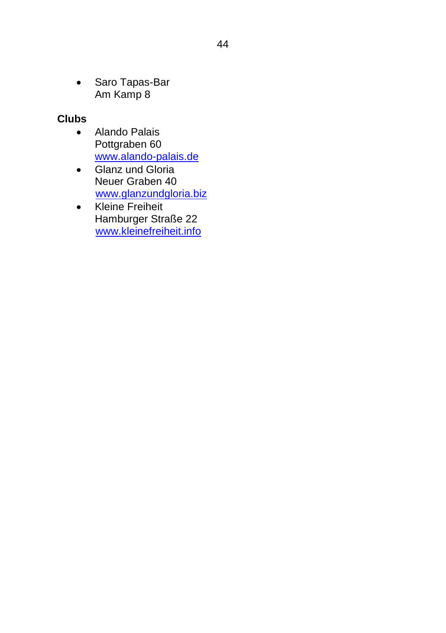• Saro Tapas-Bar Am Kamp 8

# **Clubs**

- Alando Palais Pottgraben 60 [www.alando-palais.de](http://www.alando-palais.de/)
- Glanz und Gloria Neuer Graben 40 [www.glanzundgloria.biz](http://www.glanzundgloria.biz/)
- Kleine Freiheit Hamburger Straße 22 [www.kleinefreiheit.info](http://www.kleinefreiheit.info/)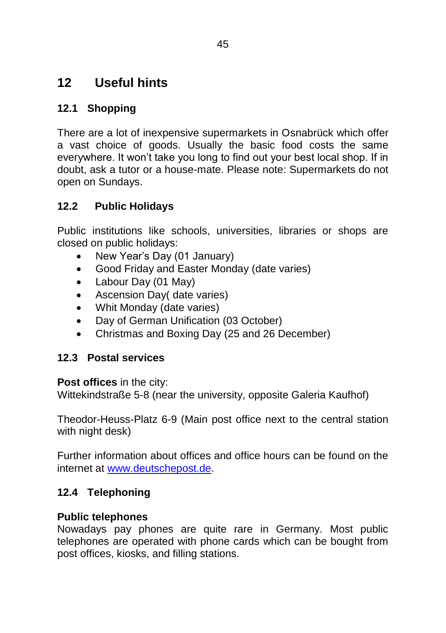# **12 Useful hints**

# **12.1 Shopping**

There are a lot of inexpensive supermarkets in Osnabrück which offer a vast choice of goods. Usually the basic food costs the same everywhere. It won't take you long to find out your best local shop. If in doubt, ask a tutor or a house-mate. Please note: Supermarkets do not open on Sundays.

# **12.2 Public Holidays**

Public institutions like schools, universities, libraries or shops are closed on public holidays:

- New Year's Day (01 January)
- Good Friday and Easter Monday (date varies)
- Labour Day (01 May)
- Ascension Day( date varies)
- Whit Monday (date varies)
- Day of German Unification (03 October)
- Christmas and Boxing Day (25 and 26 December)

# **12.3 Postal services**

#### **Post offices** in the city:

Wittekindstraße 5-8 (near the university, opposite Galeria Kaufhof)

Theodor-Heuss-Platz 6-9 (Main post office next to the central station with night desk)

Further information about offices and office hours can be found on the internet at [www.deutschepost.de.](http://www.deutschepost.de/)

# **12.4 Telephoning**

#### **Public telephones**

Nowadays pay phones are quite rare in Germany. Most public telephones are operated with phone cards which can be bought from post offices, kiosks, and filling stations.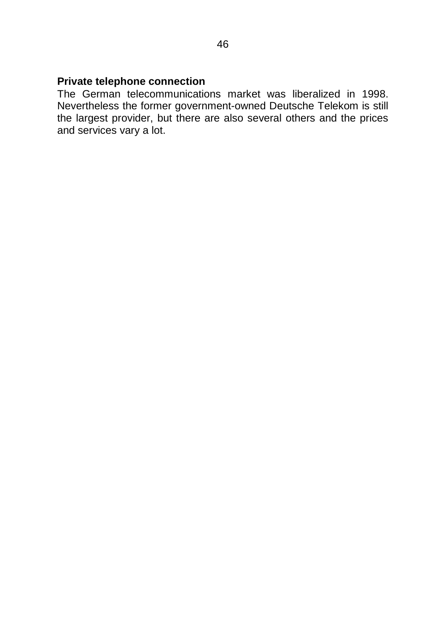#### **Private telephone connection**

The German telecommunications market was liberalized in 1998. Nevertheless the former government-owned Deutsche Telekom is still the largest provider, but there are also several others and the prices and services vary a lot.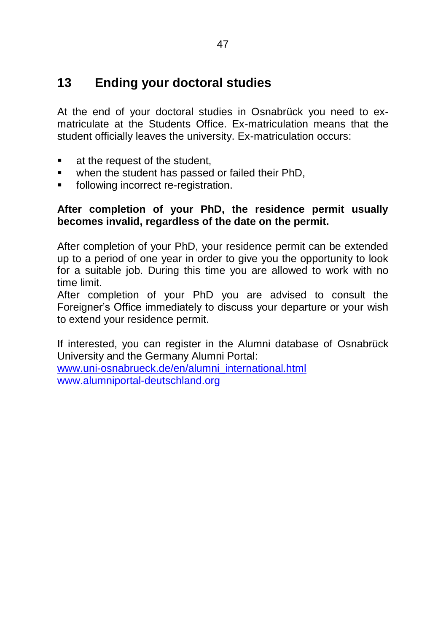# **13 Ending your doctoral studies**

At the end of your doctoral studies in Osnabrück you need to exmatriculate at the Students Office. Ex-matriculation means that the student officially leaves the university. Ex-matriculation occurs:

- **at the request of the student,**
- **when the student has passed or failed their PhD.**
- **following incorrect re-registration.**

#### **After completion of your PhD, the residence permit usually becomes invalid, regardless of the date on the permit.**

After completion of your PhD, your residence permit can be extended up to a period of one year in order to give you the opportunity to look for a suitable job. During this time you are allowed to work with no time limit.

After completion of your PhD you are advised to consult the Foreigner's Office immediately to discuss your departure or your wish to extend your residence permit.

If interested, you can register in the Alumni database of Osnabrück University and the Germany Alumni Portal:

[www.uni-osnabrueck.de/en/alumni\\_international.html](http://www.uni-osnabrueck.de/en/alumni_international.html) [www.alumniportal-deutschland.org](http://www.alumniportal-deutschland.org/)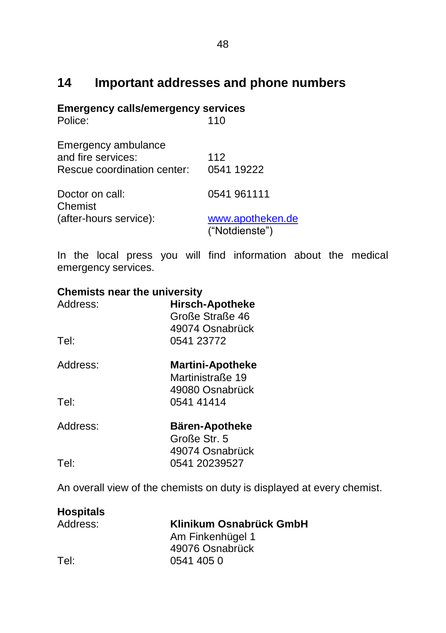# **14 Important addresses and phone numbers**

#### **Emergency calls/emergency services**

| Police:                                                                  | 110                                |
|--------------------------------------------------------------------------|------------------------------------|
| Emergency ambulance<br>and fire services:<br>Rescue coordination center: | 112<br>0541 19222                  |
| Doctor on call:<br>Chemist                                               | 0541 961111                        |
| (after-hours service):                                                   | www.apotheken.de<br>("Notdienste") |

In the local press you will find information about the medical emergency services.

# **Chemists near the university** Address: **Hirsch-Apotheke** Große Straße 46 49074 Osnabrück Tel: 0541 23772 Address: **Martini-Apotheke** Martinistraße 19 49080 Osnabrück Tel: 0541 41414 Address: **Bären-Apotheke** Große Str. 5 49074 Osnabrück Tel: 0541 20239527

An overall view of the chemists on duty is displayed at every chemist.

# **Hospitals**

# Address: **Klinikum Osnabrück GmbH**

Am Finkenhügel 1 49076 Osnabrück Tel: 0541 405 0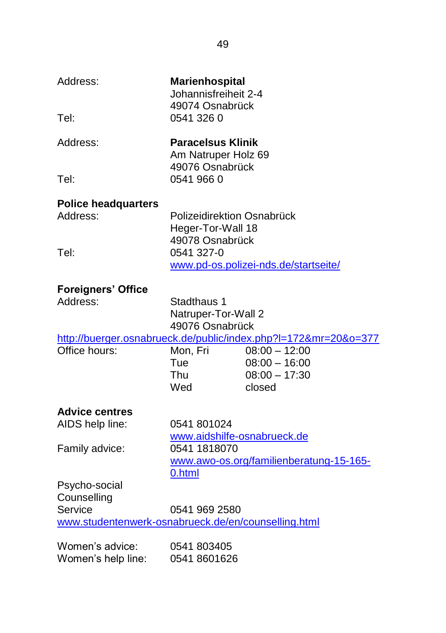| Address:                                            | <b>Marienhospital</b><br>Johannisfreiheit 2-4                         |                                                                 |
|-----------------------------------------------------|-----------------------------------------------------------------------|-----------------------------------------------------------------|
| Tel:                                                | 49074 Osnabrück<br>0541 326 0                                         |                                                                 |
| Address:                                            | <b>Paracelsus Klinik</b><br>Am Natruper Holz 69                       |                                                                 |
| Tel:                                                | 49076 Osnabrück<br>0541 966 0                                         |                                                                 |
| <b>Police headquarters</b>                          |                                                                       |                                                                 |
| Address:                                            | Polizeidirektion Osnabrück<br>Heger-Tor-Wall 18                       |                                                                 |
| Tel:                                                | 49078 Osnabrück<br>0541 327-0<br>www.pd-os.polizei-nds.de/startseite/ |                                                                 |
| <b>Foreigners' Office</b>                           |                                                                       |                                                                 |
| Address:                                            | Stadthaus 1<br>Natruper-Tor-Wall 2<br>49076 Osnabrück                 |                                                                 |
|                                                     |                                                                       | http://buerger.osnabrueck.de/public/index.php?I=172&mr=20&o=377 |
| Office hours:                                       | Mon, Fri<br>Tue<br>Thu<br>Wed                                         | $08:00 - 12:00$<br>$08:00 - 16:00$<br>$08:00 - 17:30$<br>closed |
| <b>Advice centres</b>                               |                                                                       |                                                                 |
| AIDS help line:                                     | 0541 801024<br>www.aidshilfe-osnabrueck.de                            |                                                                 |
| Family advice:                                      | 0541 1818070<br>www.awo-os.org/familienberatung-15-165-               |                                                                 |
| Psycho-social<br>Counselling                        | 0.html                                                                |                                                                 |
| Service                                             | 0541 969 2580                                                         |                                                                 |
| www.studentenwerk-osnabrueck.de/en/counselling.html |                                                                       |                                                                 |
| Women's advice:                                     | 0541 803405                                                           |                                                                 |
| Women's help line:                                  | 0541 8601626                                                          |                                                                 |